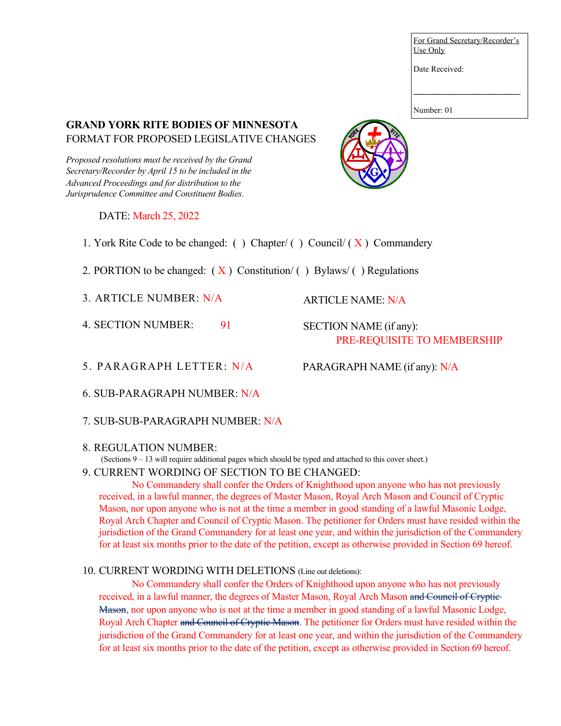For Grand Secretary/Recorder's Use Only

Date Received:

Number: 01

### **GRAND YORK RITE BODIES OF MINNESOTA**  FORMAT FOR PROPOSED LEGISLATIVE CHANGES

*Proposed resolutions must be received by the Grand Secretary/Recorder by April 15 to be included in the Advanced Proceedings and for distribution to the Jurisprudence Committee and Constituent Bodies.* 

#### DATE: March 25, 2022

1. York Rite Code to be changed: () Chapter/() Council/  $(X)$  Commandery

2. PORTION to be changed:  $(X)$  Constitution/ () Bylaws/ () Regulations

3. ARTICLE NUMBER: N/A

4. SECTION NUMBER: 91 SECTION NAME (if any): PRE-REQUISITE TO MEMBERSHIP

5. PARAGRAPH LETTER: N/A

PARAGRAPH NAME (if any): N/A

ARTICLE NAME: N/A

- 6. SUB-PARAGRAPH NUMBER: N/A
- 7. SUB-SUB-PARAGRAPH NUMBER: N/A

#### 8. REGULATION NUMBER:

(Sections 9 – 13 will require additional pages which should be typed and attached to this cover sheet.)

9. CURRENT WORDING OF SECTION TO BE CHANGED:

No Commandery shall confer the Orders of Knighthood upon anyone who has not previously received, in a lawful manner, the degrees of Master Mason, Royal Arch Mason and Council of Cryptic Mason, nor upon anyone who is not at the time a member in good standing of a lawful Masonic Lodge, Royal Arch Chapter and Council of Cryptic Mason. The petitioner for Orders must have resided within the jurisdiction of the Grand Commandery for at least one year, and within the jurisdiction of the Commandery for at least six months prior to the date of the petition, except as otherwise provided in Section 69 hereof.

#### 10. CURRENT WORDING WITH DELETIONS (Line out deletions):

No Commandery shall confer the Orders of Knighthood upon anyone who has not previously received, in a lawful manner, the degrees of Master Mason, Royal Arch Mason and Council of Cryptic-Mason, nor upon anyone who is not at the time a member in good standing of a lawful Masonic Lodge, Royal Arch Chapter and Council of Cryptic Mason. The petitioner for Orders must have resided within the jurisdiction of the Grand Commandery for at least one year, and within the jurisdiction of the Commandery for at least six months prior to the date of the petition, except as otherwise provided in Section 69 hereof.

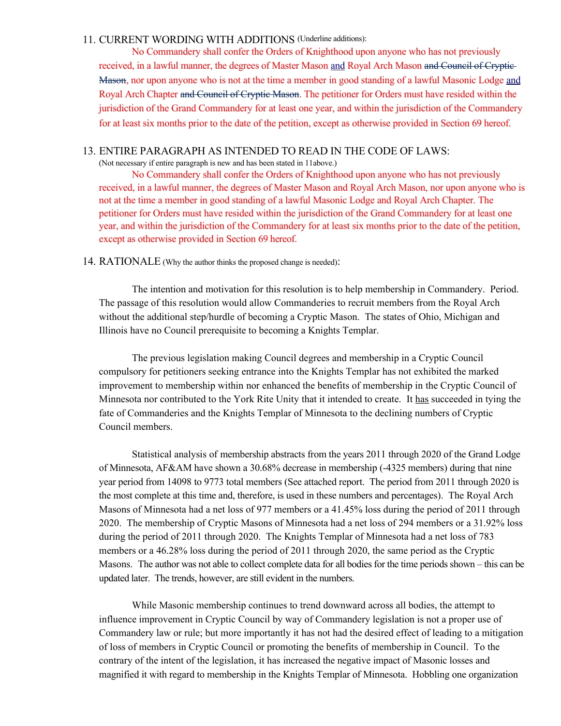#### 11. CURRENT WORDING WITH ADDITIONS (Underline additions):

No Commandery shall confer the Orders of Knighthood upon anyone who has not previously received, in a lawful manner, the degrees of Master Mason and Royal Arch Mason and Council of Cryptic-Mason, nor upon anyone who is not at the time a member in good standing of a lawful Masonic Lodge and Royal Arch Chapter and Council of Cryptic Mason. The petitioner for Orders must have resided within the jurisdiction of the Grand Commandery for at least one year, and within the jurisdiction of the Commandery for at least six months prior to the date of the petition, except as otherwise provided in Section 69 hereof.

#### 13. ENTIRE PARAGRAPH AS INTENDED TO READ IN THE CODE OF LAWS:

(Not necessary if entire paragraph is new and has been stated in 11above.)

No Commandery shall confer the Orders of Knighthood upon anyone who has not previously received, in a lawful manner, the degrees of Master Mason and Royal Arch Mason, nor upon anyone who is not at the time a member in good standing of a lawful Masonic Lodge and Royal Arch Chapter. The petitioner for Orders must have resided within the jurisdiction of the Grand Commandery for at least one year, and within the jurisdiction of the Commandery for at least six months prior to the date of the petition, except as otherwise provided in Section 69 hereof.

14. RATIONALE (Why the author thinks the proposed change is needed):

The intention and motivation for this resolution is to help membership in Commandery. Period. The passage of this resolution would allow Commanderies to recruit members from the Royal Arch without the additional step/hurdle of becoming a Cryptic Mason. The states of Ohio, Michigan and Illinois have no Council prerequisite to becoming a Knights Templar.

The previous legislation making Council degrees and membership in a Cryptic Council compulsory for petitioners seeking entrance into the Knights Templar has not exhibited the marked improvement to membership within nor enhanced the benefits of membership in the Cryptic Council of Minnesota nor contributed to the York Rite Unity that it intended to create. It has succeeded in tying the fate of Commanderies and the Knights Templar of Minnesota to the declining numbers of Cryptic Council members.

Statistical analysis of membership abstracts from the years 2011 through 2020 of the Grand Lodge of Minnesota, AF&AM have shown a 30.68% decrease in membership (-4325 members) during that nine year period from 14098 to 9773 total members (See attached report. The period from 2011 through 2020 is the most complete at this time and, therefore, is used in these numbers and percentages). The Royal Arch Masons of Minnesota had a net loss of 977 members or a 41.45% loss during the period of 2011 through 2020. The membership of Cryptic Masons of Minnesota had a net loss of 294 members or a 31.92% loss during the period of 2011 through 2020. The Knights Templar of Minnesota had a net loss of 783 members or a 46.28% loss during the period of 2011 through 2020, the same period as the Cryptic Masons. The author was not able to collect complete data for all bodies for the time periods shown – this can be updated later. The trends, however, are still evident in the numbers.

While Masonic membership continues to trend downward across all bodies, the attempt to influence improvement in Cryptic Council by way of Commandery legislation is not a proper use of Commandery law or rule; but more importantly it has not had the desired effect of leading to a mitigation of loss of members in Cryptic Council or promoting the benefits of membership in Council. To the contrary of the intent of the legislation, it has increased the negative impact of Masonic losses and magnified it with regard to membership in the Knights Templar of Minnesota. Hobbling one organization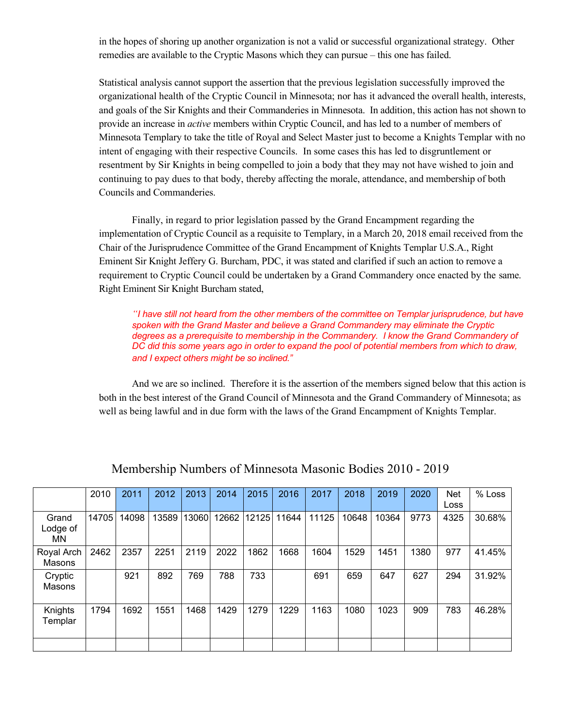in the hopes of shoring up another organization is not a valid or successful organizational strategy. Other remedies are available to the Cryptic Masons which they can pursue – this one has failed.

Statistical analysis cannot support the assertion that the previous legislation successfully improved the organizational health of the Cryptic Council in Minnesota; nor has it advanced the overall health, interests, and goals of the Sir Knights and their Commanderies in Minnesota. In addition, this action has not shown to provide an increase in *active* members within Cryptic Council, and has led to a number of members of Minnesota Templary to take the title of Royal and Select Master just to become a Knights Templar with no intent of engaging with their respective Councils. In some cases this has led to disgruntlement or resentment by Sir Knights in being compelled to join a body that they may not have wished to join and continuing to pay dues to that body, thereby affecting the morale, attendance, and membership of both Councils and Commanderies.

Finally, in regard to prior legislation passed by the Grand Encampment regarding the implementation of Cryptic Council as a requisite to Templary, in a March 20, 2018 email received from the Chair of the Jurisprudence Committee of the Grand Encampment of Knights Templar U.S.A., Right Eminent Sir Knight Jeffery G. Burcham, PDC, it was stated and clarified if such an action to remove a requirement to Cryptic Council could be undertaken by a Grand Commandery once enacted by the same. Right Eminent Sir Knight Burcham stated,

*"I have still not heard from the other members of the committee on Templar jurisprudence, but have spoken with the Grand Master and believe a Grand Commandery may eliminate the Cryptic*  degrees as a prerequisite to membership in the Commandery. I know the Grand Commandery of *DC did this some years ago in order to expand the pool of potential members from which to draw, and I expect others might be so inclined."*

And we are so inclined. Therefore it is the assertion of the members signed below that this action is both in the best interest of the Grand Council of Minnesota and the Grand Commandery of Minnesota; as well as being lawful and in due form with the laws of the Grand Encampment of Knights Templar.

|                          | 2010  | 2011  | 2012  | 2013  | 2014  | 2015  | 2016  | 2017  | 2018  | 2019  | 2020 | <b>Net</b><br>Loss | $%$ Loss |
|--------------------------|-------|-------|-------|-------|-------|-------|-------|-------|-------|-------|------|--------------------|----------|
| Grand<br>Lodge of<br>MN. | 14705 | 14098 | 13589 | 13060 | 12662 | 12125 | 11644 | 11125 | 10648 | 10364 | 9773 | 4325               | 30.68%   |
| Royal Arch<br>Masons     | 2462  | 2357  | 2251  | 2119  | 2022  | 1862  | 1668  | 1604  | 1529  | 1451  | 1380 | 977                | 41.45%   |
| Cryptic<br>Masons        |       | 921   | 892   | 769   | 788   | 733   |       | 691   | 659   | 647   | 627  | 294                | 31.92%   |
| Knights<br>Templar       | 1794  | 1692  | 1551  | 1468  | 1429  | 1279  | 1229  | 1163  | 1080  | 1023  | 909  | 783                | 46.28%   |
|                          |       |       |       |       |       |       |       |       |       |       |      |                    |          |

# Membership Numbers of Minnesota Masonic Bodies 2010 - 2019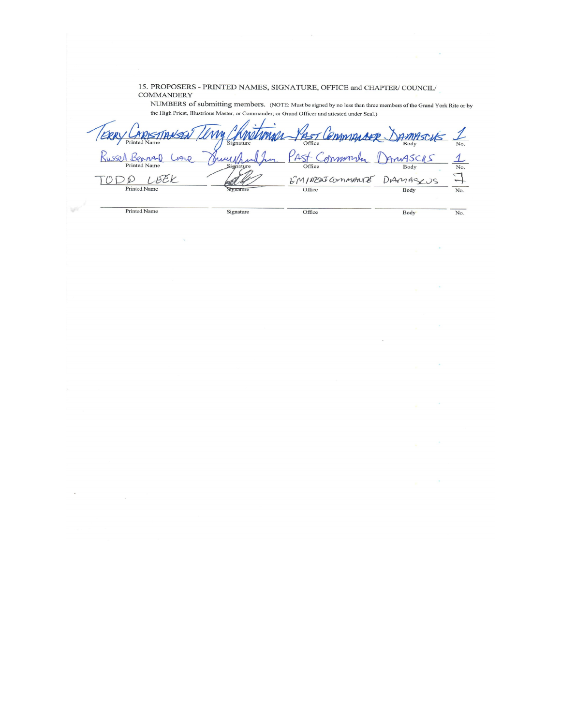15. PROPOSERS - PRINTED NAMES, SIGNATURE, OFFICE and CHAPTER/COUNCIL/ **COMMANDERY** 

NUMBERS of submitting members. (NOTE: Must be signed by no less than three members of the Grand York Rite or by the High Priest, Illustrious Master, or Commander; or Grand Officer and attested under Seal.)

 $\omega_{\rm{max}}=2$ 

Kintiman PAST Commisser **MM** RISTIANSEL AMPSCUS  $\mathcal{L}% _{M_{1},M_{2}}^{\alpha,\beta}(\varepsilon)$ Printed Past Russell Beanand AnySCKS dramarily  $\frac{1}{N_{o}}$  $140$ *<u>AMALI</u>* Office LBEK EMINERICOMMANTE DAMASCUS  $\Box$ TODO Printed Name Office Body  $\overline{No.}$ ignatur Printed Name Signature Office Body  $\overline{No.}$ 

V)

 $\bar{\star}$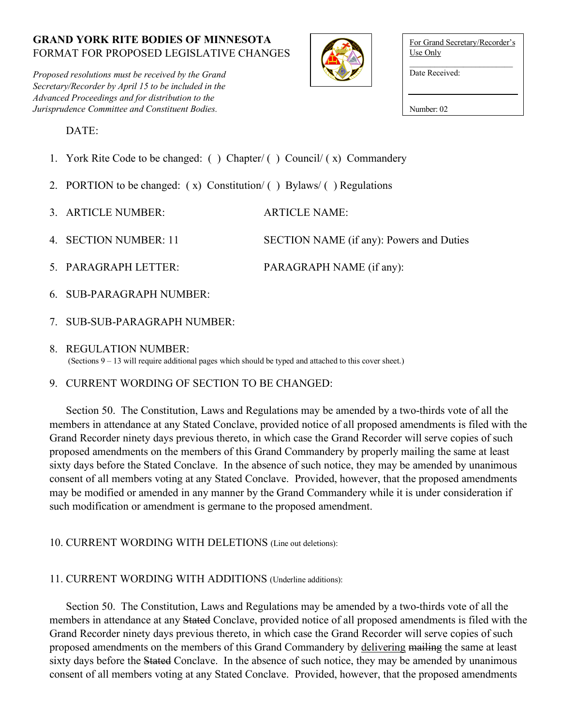*Proposed resolutions must be received by the Grand Secretary/Recorder by April 15 to be included in the Advanced Proceedings and for distribution to the Jurisprudence Committee and Constituent Bodies.*



| For Grand Secretary/Recorder's<br>Use Only |
|--------------------------------------------|
| Date Received:                             |
|                                            |

DATE:

- 1. York Rite Code to be changed: ( ) Chapter/ ( ) Council/ ( x) Commandery
- 2. PORTION to be changed:  $(x)$  Constitution/ $( )$  Bylaws/ $( )$  Regulations
- 3. ARTICLE NUMBER: ARTICLE NAME:

4. SECTION NUMBER: 11 SECTION NAME (if any): Powers and Duties

- 5. PARAGRAPH LETTER: PARAGRAPH NAME (if any):
- 6. SUB-PARAGRAPH NUMBER:
- 7. SUB-SUB-PARAGRAPH NUMBER:
- 8. REGULATION NUMBER: (Sections 9 – 13 will require additional pages which should be typed and attached to this cover sheet.)
- 9. CURRENT WORDING OF SECTION TO BE CHANGED:

Section 50. The Constitution, Laws and Regulations may be amended by a two-thirds vote of all the members in attendance at any Stated Conclave, provided notice of all proposed amendments is filed with the Grand Recorder ninety days previous thereto, in which case the Grand Recorder will serve copies of such proposed amendments on the members of this Grand Commandery by properly mailing the same at least sixty days before the Stated Conclave. In the absence of such notice, they may be amended by unanimous consent of all members voting at any Stated Conclave. Provided, however, that the proposed amendments may be modified or amended in any manner by the Grand Commandery while it is under consideration if such modification or amendment is germane to the proposed amendment.

10. CURRENT WORDING WITH DELETIONS (Line out deletions):

# 11. CURRENT WORDING WITH ADDITIONS (Underline additions):

Section 50. The Constitution, Laws and Regulations may be amended by a two-thirds vote of all the members in attendance at any Stated Conclave, provided notice of all proposed amendments is filed with the Grand Recorder ninety days previous thereto, in which case the Grand Recorder will serve copies of such proposed amendments on the members of this Grand Commandery by delivering mailing the same at least sixty days before the Stated Conclave. In the absence of such notice, they may be amended by unanimous consent of all members voting at any Stated Conclave. Provided, however, that the proposed amendments

Number: 02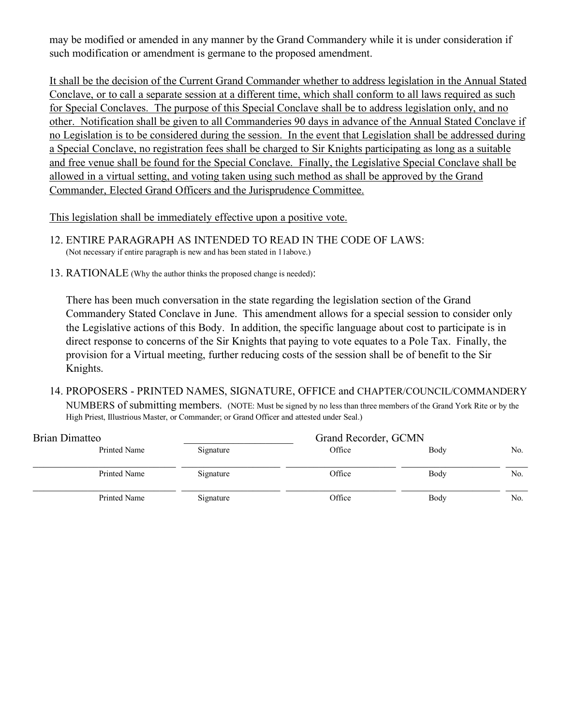may be modified or amended in any manner by the Grand Commandery while it is under consideration if such modification or amendment is germane to the proposed amendment.

It shall be the decision of the Current Grand Commander whether to address legislation in the Annual Stated Conclave, or to call a separate session at a different time, which shall conform to all laws required as such for Special Conclaves. The purpose of this Special Conclave shall be to address legislation only, and no other. Notification shall be given to all Commanderies 90 days in advance of the Annual Stated Conclave if no Legislation is to be considered during the session. In the event that Legislation shall be addressed during a Special Conclave, no registration fees shall be charged to Sir Knights participating as long as a suitable and free venue shall be found for the Special Conclave. Finally, the Legislative Special Conclave shall be allowed in a virtual setting, and voting taken using such method as shall be approved by the Grand Commander, Elected Grand Officers and the Jurisprudence Committee.

This legislation shall be immediately effective upon a positive vote.

- 12. ENTIRE PARAGRAPH AS INTENDED TO READ IN THE CODE OF LAWS: (Not necessary if entire paragraph is new and has been stated in 11above.)
- 13. RATIONALE (Why the author thinks the proposed change is needed):

There has been much conversation in the state regarding the legislation section of the Grand Commandery Stated Conclave in June. This amendment allows for a special session to consider only the Legislative actions of this Body. In addition, the specific language about cost to participate is in direct response to concerns of the Sir Knights that paying to vote equates to a Pole Tax. Finally, the provision for a Virtual meeting, further reducing costs of the session shall be of benefit to the Sir Knights.

14. PROPOSERS - PRINTED NAMES, SIGNATURE, OFFICE and CHAPTER/COUNCIL/COMMANDERY NUMBERS of submitting members. (NOTE: Must be signed by no less than three members of the Grand York Rite or by the High Priest, Illustrious Master, or Commander; or Grand Officer and attested under Seal.)

| Brian Dimatteo |           | Grand Recorder, GCMN |      |     |
|----------------|-----------|----------------------|------|-----|
| Printed Name   | Signature | Office               | Body | No. |
| Printed Name   | Signature | Office               | Body | No. |
| Printed Name   | Signature | Office               | Body | No. |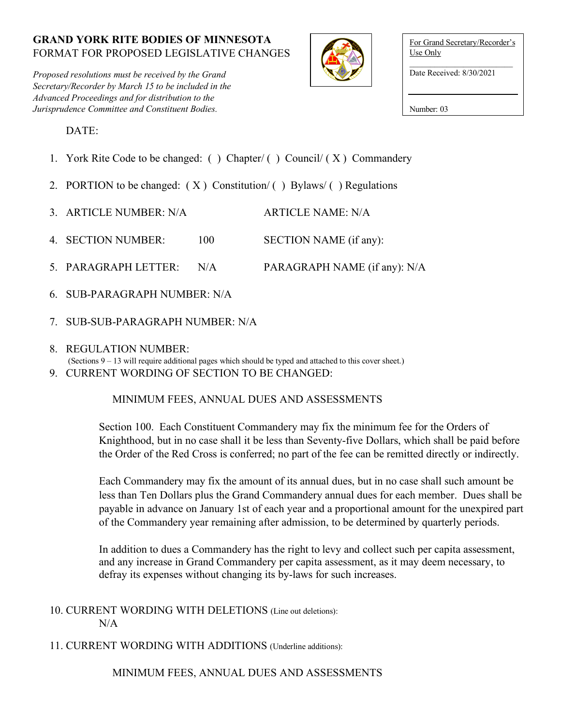*Proposed resolutions must be received by the Grand Secretary/Recorder by March 15 to be included in the Advanced Proceedings and for distribution to the Jurisprudence Committee and Constituent Bodies.*



For Grand Secretary/Recorder's Use Only

Date Received: 8/30/2021

Number: 03

DATE:

- 1. York Rite Code to be changed: () Chapter/() Council/ $(X)$  Commandery
- 2. PORTION to be changed:  $(X)$  Constitution/ $()$  Bylaws/ $()$  Regulations
- 3. ARTICLE NUMBER: N/A ARTICLE NAME: N/A
- 4. SECTION NUMBER: 100 SECTION NAME (if any):
- 5. PARAGRAPH LETTER: N/A PARAGRAPH NAME (if any): N/A
- 6. SUB-PARAGRAPH NUMBER: N/A
- 7. SUB-SUB-PARAGRAPH NUMBER: N/A
- 8. REGULATION NUMBER:

(Sections 9 – 13 will require additional pages which should be typed and attached to this cover sheet.)

9. CURRENT WORDING OF SECTION TO BE CHANGED:

# MINIMUM FEES, ANNUAL DUES AND ASSESSMENTS

Section 100. Each Constituent Commandery may fix the minimum fee for the Orders of Knighthood, but in no case shall it be less than Seventy-five Dollars, which shall be paid before the Order of the Red Cross is conferred; no part of the fee can be remitted directly or indirectly.

Each Commandery may fix the amount of its annual dues, but in no case shall such amount be less than Ten Dollars plus the Grand Commandery annual dues for each member. Dues shall be payable in advance on January 1st of each year and a proportional amount for the unexpired part of the Commandery year remaining after admission, to be determined by quarterly periods.

In addition to dues a Commandery has the right to levy and collect such per capita assessment, and any increase in Grand Commandery per capita assessment, as it may deem necessary, to defray its expenses without changing its by-laws for such increases.

10. CURRENT WORDING WITH DELETIONS (Line out deletions): N/A

11. CURRENT WORDING WITH ADDITIONS (Underline additions):

MINIMUM FEES, ANNUAL DUES AND ASSESSMENTS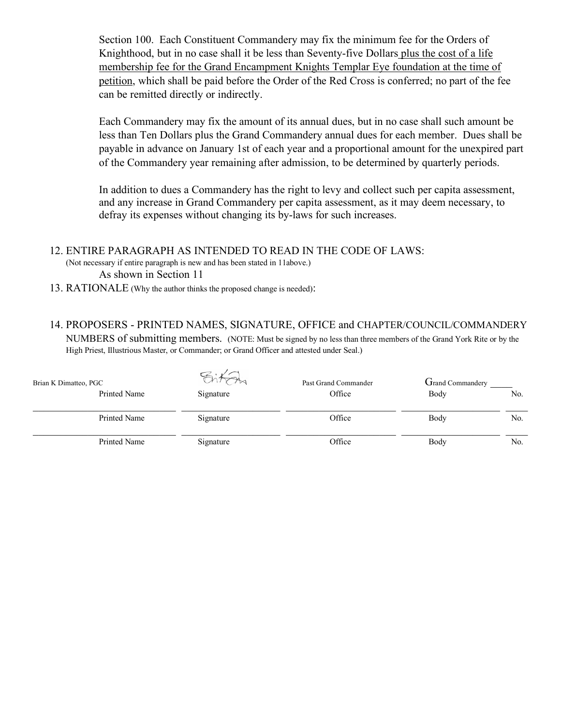Section 100. Each Constituent Commandery may fix the minimum fee for the Orders of Knighthood, but in no case shall it be less than Seventy-five Dollars plus the cost of a life membership fee for the Grand Encampment Knights Templar Eye foundation at the time of petition, which shall be paid before the Order of the Red Cross is conferred; no part of the fee can be remitted directly or indirectly.

Each Commandery may fix the amount of its annual dues, but in no case shall such amount be less than Ten Dollars plus the Grand Commandery annual dues for each member. Dues shall be payable in advance on January 1st of each year and a proportional amount for the unexpired part of the Commandery year remaining after admission, to be determined by quarterly periods.

In addition to dues a Commandery has the right to levy and collect such per capita assessment, and any increase in Grand Commandery per capita assessment, as it may deem necessary, to defray its expenses without changing its by-laws for such increases.

#### 12. ENTIRE PARAGRAPH AS INTENDED TO READ IN THE CODE OF LAWS:

(Not necessary if entire paragraph is new and has been stated in 11above.) As shown in Section 11

- 13. RATIONALE (Why the author thinks the proposed change is needed):
- 14. PROPOSERS PRINTED NAMES, SIGNATURE, OFFICE and CHAPTER/COUNCIL/COMMANDERY NUMBERS of submitting members. (NOTE: Must be signed by no less than three members of the Grand York Rite or by the High Priest, Illustrious Master, or Commander; or Grand Officer and attested under Seal.)

| Brian K Dimatteo, PGC |  |           | Past Grand Commander | <b>Grand Commandery</b> |     |
|-----------------------|--|-----------|----------------------|-------------------------|-----|
| Printed Name          |  | Signature | Office               | Body                    | No. |
| <b>Printed Name</b>   |  | Signature | Office               | Body                    | No. |
| Printed Name          |  | Signature | Office               | Body                    | No. |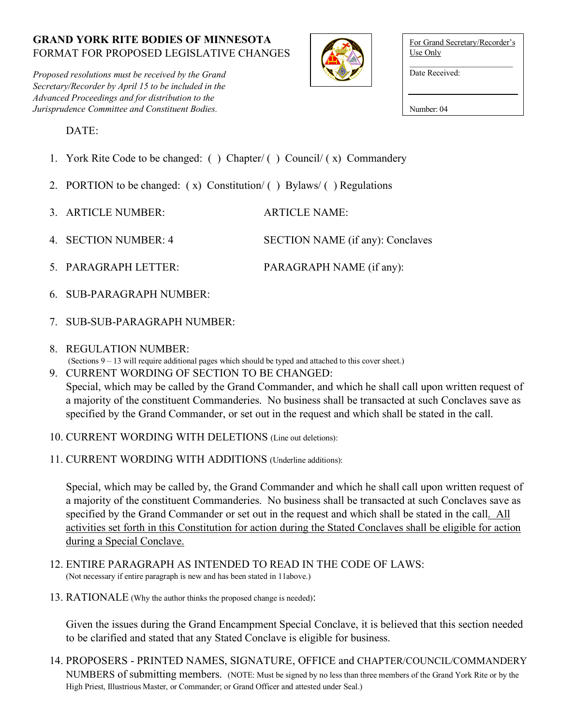*Proposed resolutions must be received by the Grand Secretary/Recorder by April 15 to be included in the Advanced Proceedings and for distribution to the Jurisprudence Committee and Constituent Bodies.*



| For Grand Secretary/Recorder's<br>Use Only |
|--------------------------------------------|
| Date Received:                             |
|                                            |

Number: 04

DATE:

- 1. York Rite Code to be changed: ( ) Chapter/ ( ) Council/ ( x) Commandery
- 2. PORTION to be changed:  $(x)$  Constitution/ $(y)$  Bylaws/ $(y)$  Regulations
- 3. ARTICLE NUMBER: ARTICLE NAME:
- 4. SECTION NUMBER: 4 SECTION NAME (if any): Conclaves
- 5. PARAGRAPH LETTER: PARAGRAPH NAME (if any):
- 6. SUB-PARAGRAPH NUMBER:
- 7. SUB-SUB-PARAGRAPH NUMBER:
- 8. REGULATION NUMBER:
- (Sections 9 13 will require additional pages which should be typed and attached to this cover sheet.)
- 9. CURRENT WORDING OF SECTION TO BE CHANGED: Special, which may be called by the Grand Commander, and which he shall call upon written request of a majority of the constituent Commanderies. No business shall be transacted at such Conclaves save as specified by the Grand Commander, or set out in the request and which shall be stated in the call.
- 10. CURRENT WORDING WITH DELETIONS (Line out deletions):
- 11. CURRENT WORDING WITH ADDITIONS (Underline additions):

Special, which may be called by, the Grand Commander and which he shall call upon written request of a majority of the constituent Commanderies. No business shall be transacted at such Conclaves save as specified by the Grand Commander or set out in the request and which shall be stated in the call. All activities set forth in this Constitution for action during the Stated Conclaves shall be eligible for action during a Special Conclave.

- 12. ENTIRE PARAGRAPH AS INTENDED TO READ IN THE CODE OF LAWS: (Not necessary if entire paragraph is new and has been stated in 11above.)
- 13. RATIONALE (Why the author thinks the proposed change is needed):

Given the issues during the Grand Encampment Special Conclave, it is believed that this section needed to be clarified and stated that any Stated Conclave is eligible for business.

14. PROPOSERS - PRINTED NAMES, SIGNATURE, OFFICE and CHAPTER/COUNCIL/COMMANDERY NUMBERS of submitting members. (NOTE: Must be signed by no less than three members of the Grand York Rite or by the High Priest, Illustrious Master, or Commander; or Grand Officer and attested under Seal.)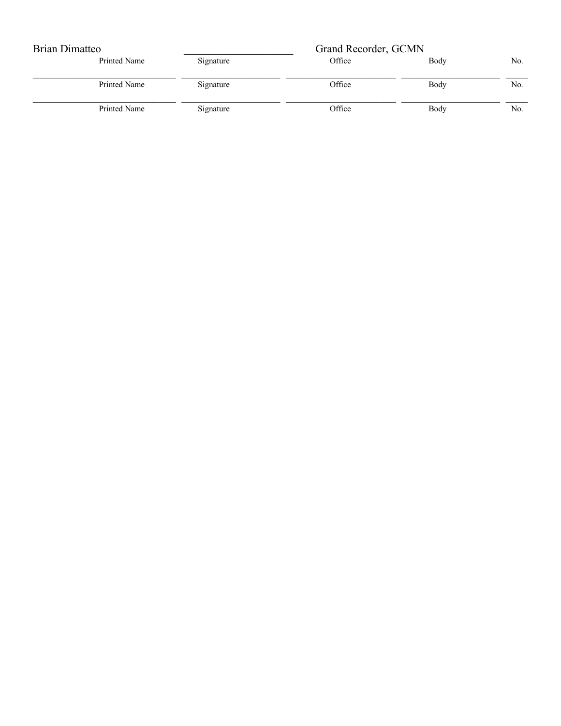| Brian Dimatteo |           | Grand Recorder, GCMN |      |     |
|----------------|-----------|----------------------|------|-----|
| Printed Name   | Signature | Office               | Body | No. |
| Printed Name   | Signature | Office               | Body | No. |
| Printed Name   | Signature | Office               | Body | No. |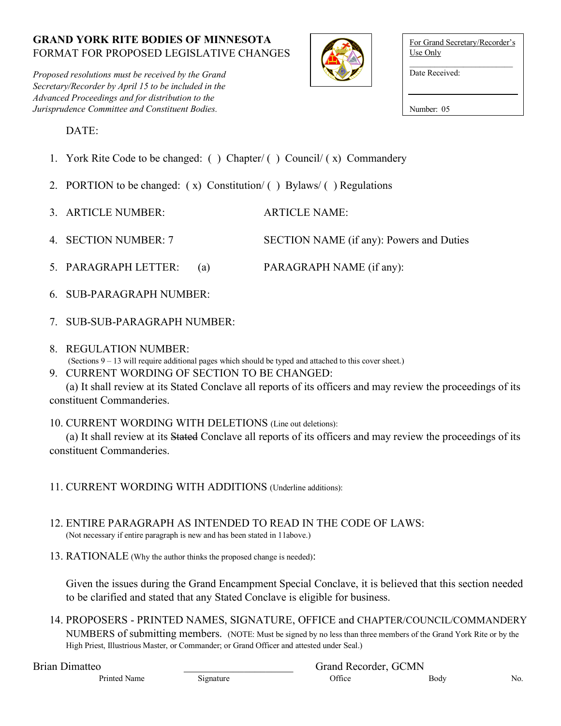*Proposed resolutions must be received by the Grand Secretary/Recorder by April 15 to be included in the Advanced Proceedings and for distribution to the Jurisprudence Committee and Constituent Bodies.*



| For Grand Secretary/Recorder's<br>Use Only |
|--------------------------------------------|
| Date Received:                             |

Number: 05

DATE:

- 1. York Rite Code to be changed: ( ) Chapter/ ( ) Council/ ( x) Commandery
- 2. PORTION to be changed:  $(x)$  Constitution/ $( )$  Bylaws/ $( )$  Regulations
- 3. ARTICLE NUMBER: ARTICLE NAME:
- 4. SECTION NUMBER: 7 SECTION NAME (if any): Powers and Duties
- 5. PARAGRAPH LETTER: (a) PARAGRAPH NAME (if any):
- 6. SUB-PARAGRAPH NUMBER:
- 7. SUB-SUB-PARAGRAPH NUMBER:
- 8. REGULATION NUMBER:
- (Sections 9 13 will require additional pages which should be typed and attached to this cover sheet.)
- 9. CURRENT WORDING OF SECTION TO BE CHANGED:

(a) It shall review at its Stated Conclave all reports of its officers and may review the proceedings of its constituent Commanderies.

10. CURRENT WORDING WITH DELETIONS (Line out deletions):

(a) It shall review at its Stated Conclave all reports of its officers and may review the proceedings of its constituent Commanderies.

- 11. CURRENT WORDING WITH ADDITIONS (Underline additions):
- 12. ENTIRE PARAGRAPH AS INTENDED TO READ IN THE CODE OF LAWS: (Not necessary if entire paragraph is new and has been stated in 11above.)
- 13. RATIONALE (Why the author thinks the proposed change is needed):

Given the issues during the Grand Encampment Special Conclave, it is believed that this section needed to be clarified and stated that any Stated Conclave is eligible for business.

14. PROPOSERS - PRINTED NAMES, SIGNATURE, OFFICE and CHAPTER/COUNCIL/COMMANDERY NUMBERS of submitting members. (NOTE: Must be signed by no less than three members of the Grand York Rite or by the High Priest, Illustrious Master, or Commander; or Grand Officer and attested under Seal.)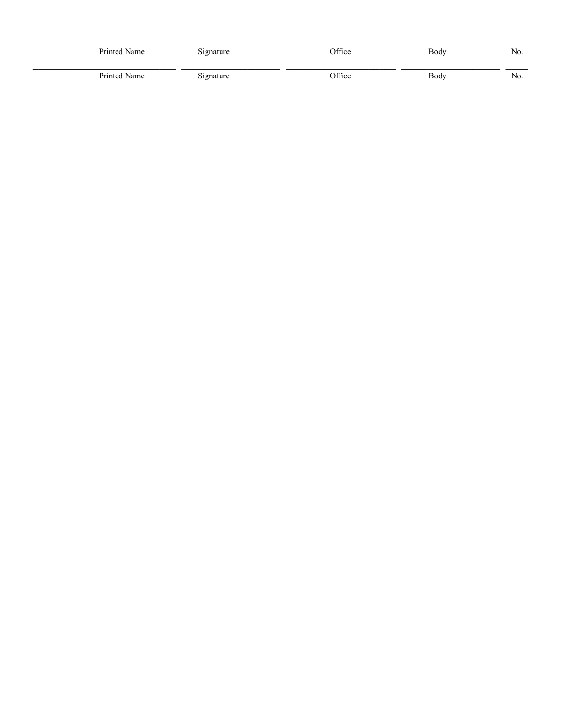| Printed Name | Signature | Office | Body | No. |
|--------------|-----------|--------|------|-----|
| Printed Name | Signature | Office | Body | No. |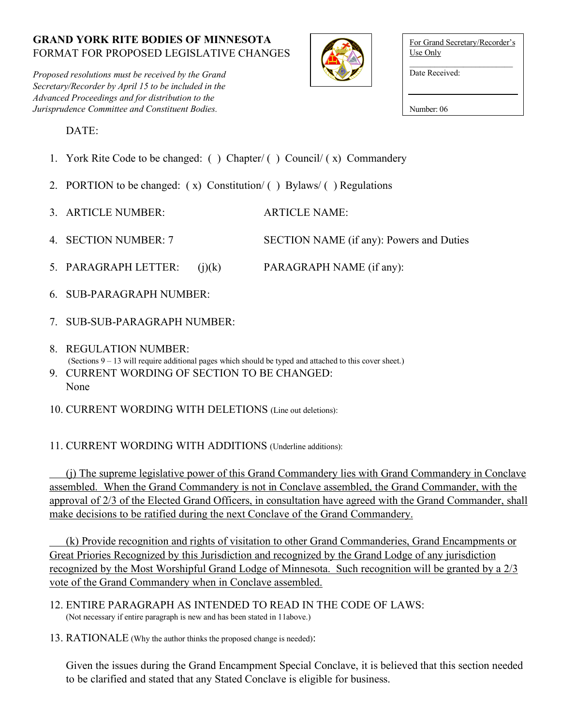*Proposed resolutions must be received by the Grand Secretary/Recorder by April 15 to be included in the Advanced Proceedings and for distribution to the Jurisprudence Committee and Constituent Bodies.*



| For Grand Secretary/Recorder's<br>Use Only |
|--------------------------------------------|
| Date Received:                             |
|                                            |

Number: 06

DATE:

- 1. York Rite Code to be changed: ( ) Chapter/ ( ) Council/ ( x) Commandery
- 2. PORTION to be changed:  $(x)$  Constitution $\ell$  ( ) Bylaws $\ell$  ) Regulations
- 3. ARTICLE NUMBER: ARTICLE NAME:
- 4. SECTION NUMBER: 7 SECTION NAME (if any): Powers and Duties
- 5. PARAGRAPH LETTER: (j)(k) PARAGRAPH NAME (if any):
- 6. SUB-PARAGRAPH NUMBER:
- 7. SUB-SUB-PARAGRAPH NUMBER:
- 8. REGULATION NUMBER: (Sections 9 – 13 will require additional pages which should be typed and attached to this cover sheet.) 9. CURRENT WORDING OF SECTION TO BE CHANGED: None

10. CURRENT WORDING WITH DELETIONS (Line out deletions):

# 11. CURRENT WORDING WITH ADDITIONS (Underline additions):

(j) The supreme legislative power of this Grand Commandery lies with Grand Commandery in Conclave assembled. When the Grand Commandery is not in Conclave assembled, the Grand Commander, with the approval of 2/3 of the Elected Grand Officers, in consultation have agreed with the Grand Commander, shall make decisions to be ratified during the next Conclave of the Grand Commandery.

(k) Provide recognition and rights of visitation to other Grand Commanderies, Grand Encampments or Great Priories Recognized by this Jurisdiction and recognized by the Grand Lodge of any jurisdiction recognized by the Most Worshipful Grand Lodge of Minnesota. Such recognition will be granted by a 2/3 vote of the Grand Commandery when in Conclave assembled.

- 12. ENTIRE PARAGRAPH AS INTENDED TO READ IN THE CODE OF LAWS: (Not necessary if entire paragraph is new and has been stated in 11above.)
- 13. RATIONALE (Why the author thinks the proposed change is needed):

Given the issues during the Grand Encampment Special Conclave, it is believed that this section needed to be clarified and stated that any Stated Conclave is eligible for business.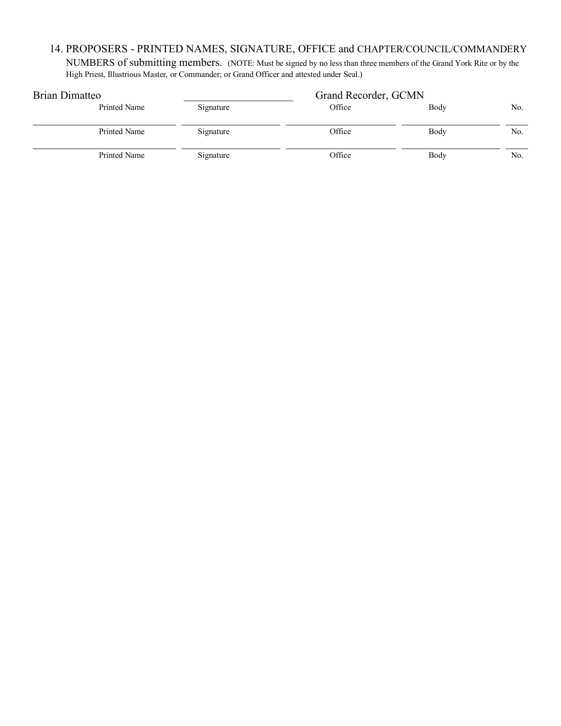# 14. PROPOSERS - PRINTED NAMES, SIGNATURE, OFFICE and CHAPTER/COUNCIL/COMMANDERY

NUMBERS of submitting members. (NOTE: Must be signed by no less than three members of the Grand York Rite or by the High Priest, Illustrious Master, or Commander; or Grand Officer and attested under Seal.)

| Brian Dimatteo |           | Grand Recorder, GCMN |      |     |
|----------------|-----------|----------------------|------|-----|
| Printed Name   | Signature | Office               | Body | No. |
| Printed Name   | Signature | Office               | Body | No. |
| Printed Name   | Signature | Office               | Body | No. |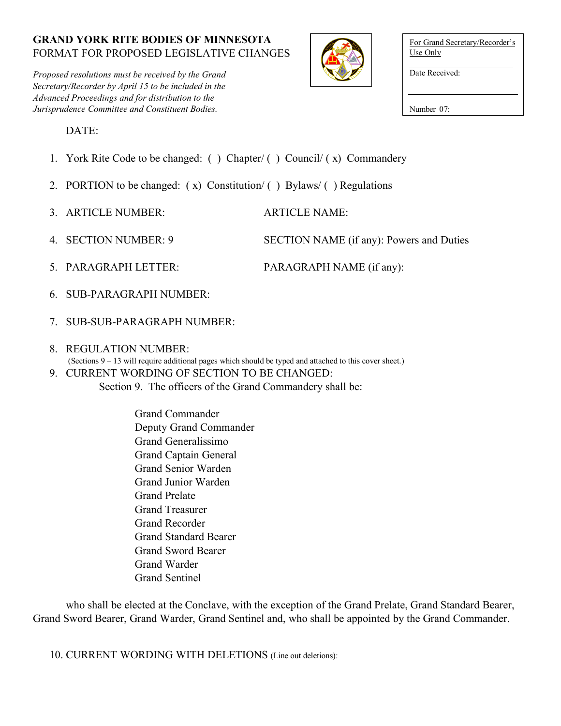*Proposed resolutions must be received by the Grand Secretary/Recorder by April 15 to be included in the Advanced Proceedings and for distribution to the Jurisprudence Committee and Constituent Bodies.*



| For Grand Secretary/Recorder's |
|--------------------------------|
| Use Only                       |
| Date Received:                 |

Number 07:

DATE:

- 1. York Rite Code to be changed: ( ) Chapter/ ( ) Council/ ( x) Commandery
- 2. PORTION to be changed:  $(x)$  Constitution/ $(y)$  Bylaws/ $(y)$  Regulations
- 3. ARTICLE NUMBER: ARTICLE NAME:
- 4. SECTION NUMBER: 9 SECTION NAME (if any): Powers and Duties
- 5. PARAGRAPH LETTER: PARAGRAPH NAME (if any):
- 6. SUB-PARAGRAPH NUMBER:
- 7. SUB-SUB-PARAGRAPH NUMBER:
- 8. REGULATION NUMBER:
- (Sections 9 13 will require additional pages which should be typed and attached to this cover sheet.) 9. CURRENT WORDING OF SECTION TO BE CHANGED:
	- Section 9. The officers of the Grand Commandery shall be:

Grand Commander Deputy Grand Commander Grand Generalissimo Grand Captain General Grand Senior Warden Grand Junior Warden Grand Prelate Grand Treasurer Grand Recorder Grand Standard Bearer Grand Sword Bearer Grand Warder Grand Sentinel

who shall be elected at the Conclave, with the exception of the Grand Prelate, Grand Standard Bearer, Grand Sword Bearer, Grand Warder, Grand Sentinel and, who shall be appointed by the Grand Commander.

10. CURRENT WORDING WITH DELETIONS (Line out deletions):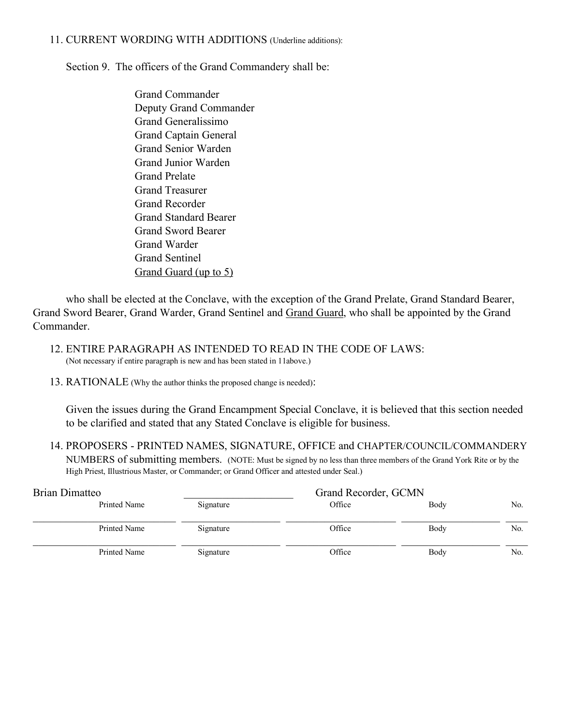#### 11. CURRENT WORDING WITH ADDITIONS (Underline additions):

Section 9. The officers of the Grand Commandery shall be:

Grand Commander Deputy Grand Commander Grand Generalissimo Grand Captain General Grand Senior Warden Grand Junior Warden Grand Prelate Grand Treasurer Grand Recorder Grand Standard Bearer Grand Sword Bearer Grand Warder Grand Sentinel Grand Guard (up to 5)

who shall be elected at the Conclave, with the exception of the Grand Prelate, Grand Standard Bearer, Grand Sword Bearer, Grand Warder, Grand Sentinel and Grand Guard, who shall be appointed by the Grand Commander.

- 12. ENTIRE PARAGRAPH AS INTENDED TO READ IN THE CODE OF LAWS: (Not necessary if entire paragraph is new and has been stated in 11above.)
- 13. RATIONALE (Why the author thinks the proposed change is needed):

Given the issues during the Grand Encampment Special Conclave, it is believed that this section needed to be clarified and stated that any Stated Conclave is eligible for business.

14. PROPOSERS - PRINTED NAMES, SIGNATURE, OFFICE and CHAPTER/COUNCIL/COMMANDERY NUMBERS of submitting members. (NOTE: Must be signed by no less than three members of the Grand York Rite or by the High Priest, Illustrious Master, or Commander; or Grand Officer and attested under Seal.)

| Brian Dimatteo |           | Grand Recorder, GCMN |      |     |
|----------------|-----------|----------------------|------|-----|
| Printed Name   | Signature | Office               | Body | No. |
| Printed Name   | Signature | Office               | Body | No. |
| Printed Name   | Signature | Office               | Body | No. |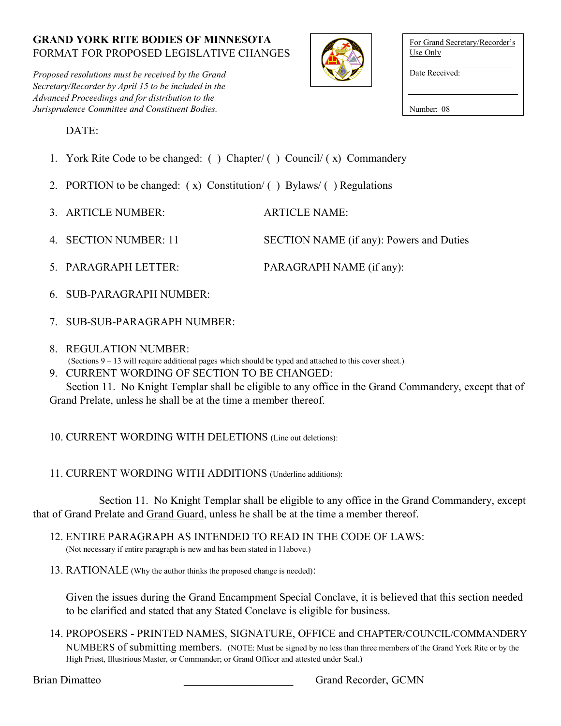*Proposed resolutions must be received by the Grand Secretary/Recorder by April 15 to be included in the Advanced Proceedings and for distribution to the Jurisprudence Committee and Constituent Bodies.*



| For Grand Secretary/Recorder's<br>Use Only |
|--------------------------------------------|
| Date Received:                             |
| Number: 08                                 |

DATE:

- 1. York Rite Code to be changed: ( ) Chapter/ ( ) Council/ ( x) Commandery
- 2. PORTION to be changed:  $(x)$  Constitution/ $( )$  Bylaws/ $( )$  Regulations
- 3. ARTICLE NUMBER: ARTICLE NAME:
- 4. SECTION NUMBER: 11 SECTION NAME (if any): Powers and Duties
- 5. PARAGRAPH LETTER: PARAGRAPH NAME (if any):
- 6. SUB-PARAGRAPH NUMBER:
- 7. SUB-SUB-PARAGRAPH NUMBER:
- 8. REGULATION NUMBER:
- (Sections 9 13 will require additional pages which should be typed and attached to this cover sheet.)
- 9. CURRENT WORDING OF SECTION TO BE CHANGED:

Section 11. No Knight Templar shall be eligible to any office in the Grand Commandery, except that of Grand Prelate, unless he shall be at the time a member thereof.

- 10. CURRENT WORDING WITH DELETIONS (Line out deletions):
- 11. CURRENT WORDING WITH ADDITIONS (Underline additions):

Section 11. No Knight Templar shall be eligible to any office in the Grand Commandery, except that of Grand Prelate and Grand Guard, unless he shall be at the time a member thereof.

- 12. ENTIRE PARAGRAPH AS INTENDED TO READ IN THE CODE OF LAWS: (Not necessary if entire paragraph is new and has been stated in 11above.)
- 13. RATIONALE (Why the author thinks the proposed change is needed):

Given the issues during the Grand Encampment Special Conclave, it is believed that this section needed to be clarified and stated that any Stated Conclave is eligible for business.

14. PROPOSERS - PRINTED NAMES, SIGNATURE, OFFICE and CHAPTER/COUNCIL/COMMANDERY NUMBERS of submitting members. (NOTE: Must be signed by no less than three members of the Grand York Rite or by the High Priest, Illustrious Master, or Commander; or Grand Officer and attested under Seal.)

Brian Dimatteo **Brian Dimatteo Brian Dimatteo GCMN**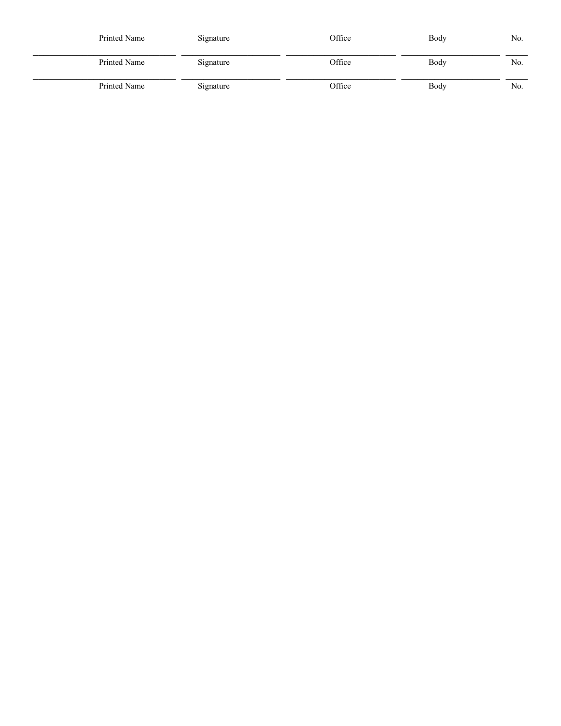| Printed Name | Signature | Office | Body | No. |
|--------------|-----------|--------|------|-----|
| Printed Name | Signature | Office | Body | No. |
| Printed Name | Signature | Office | Body | No. |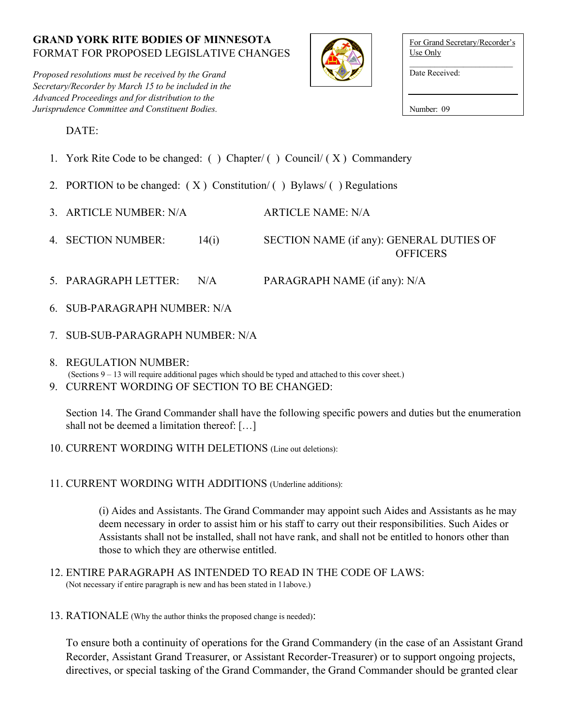*Proposed resolutions must be received by the Grand Secretary/Recorder by March 15 to be included in the Advanced Proceedings and for distribution to the Jurisprudence Committee and Constituent Bodies.*



| For Grand Secretary/Recorder's<br>Use Only |
|--------------------------------------------|
| Date Received:                             |
|                                            |

Number: 09

DATE:

- 1. York Rite Code to be changed: () Chapter/() Council/ $(X)$  Commandery
- 2. PORTION to be changed:  $(X)$  Constitution/ $()$  Bylaws/ $()$  Regulations
- 3. ARTICLE NUMBER: N/A ARTICLE NAME: N/A
- 4. SECTION NUMBER: 14(i) SECTION NAME (if any): GENERAL DUTIES OF

- **OFFICERS**
- 5. PARAGRAPH LETTER: N/A PARAGRAPH NAME (if any): N/A
- 6. SUB-PARAGRAPH NUMBER: N/A
- 7. SUB-SUB-PARAGRAPH NUMBER: N/A
- 8. REGULATION NUMBER: (Sections 9 – 13 will require additional pages which should be typed and attached to this cover sheet.)
- 9. CURRENT WORDING OF SECTION TO BE CHANGED:

Section 14. The Grand Commander shall have the following specific powers and duties but the enumeration shall not be deemed a limitation thereof: […]

- 10. CURRENT WORDING WITH DELETIONS (Line out deletions):
- 11. CURRENT WORDING WITH ADDITIONS (Underline additions):

(i) Aides and Assistants. The Grand Commander may appoint such Aides and Assistants as he may deem necessary in order to assist him or his staff to carry out their responsibilities. Such Aides or Assistants shall not be installed, shall not have rank, and shall not be entitled to honors other than those to which they are otherwise entitled.

- 12. ENTIRE PARAGRAPH AS INTENDED TO READ IN THE CODE OF LAWS: (Not necessary if entire paragraph is new and has been stated in 11above.)
- 13. RATIONALE (Why the author thinks the proposed change is needed):

To ensure both a continuity of operations for the Grand Commandery (in the case of an Assistant Grand Recorder, Assistant Grand Treasurer, or Assistant Recorder-Treasurer) or to support ongoing projects, directives, or special tasking of the Grand Commander, the Grand Commander should be granted clear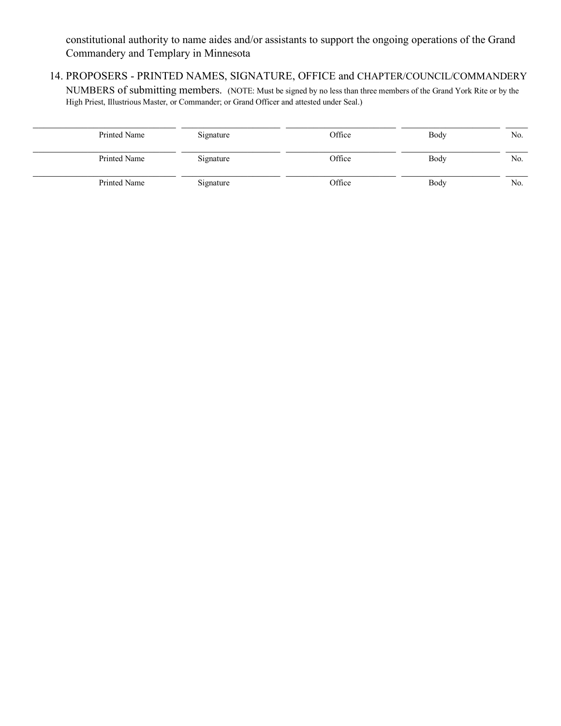constitutional authority to name aides and/or assistants to support the ongoing operations of the Grand Commandery and Templary in Minnesota

14. PROPOSERS - PRINTED NAMES, SIGNATURE, OFFICE and CHAPTER/COUNCIL/COMMANDERY

NUMBERS of submitting members. (NOTE: Must be signed by no less than three members of the Grand York Rite or by the High Priest, Illustrious Master, or Commander; or Grand Officer and attested under Seal.)

| Printed Name | Signature | Office | Body | No. |
|--------------|-----------|--------|------|-----|
| Printed Name | Signature | Office | Body | No. |
| Printed Name | Signature | Office | Body | No. |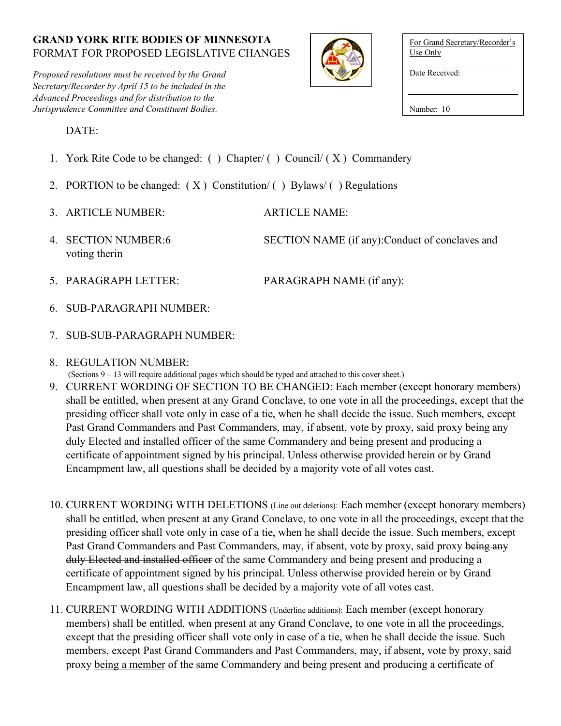*Proposed resolutions must be received by the Grand Secretary/Recorder by April 15 to be included in the Advanced Proceedings and for distribution to the Jurisprudence Committee and Constituent Bodies.*



| For Grand Secretary/Recorder's<br>Use Only |
|--------------------------------------------|
| Date Received:                             |
| Number: 10                                 |

DATE:

- 1. York Rite Code to be changed: ( ) Chapter/ ( ) Council/ ( X ) Commandery
- 2. PORTION to be changed:  $(X)$  Constitution/ $()$  Bylaws/ $()$  Regulations
- 3. ARTICLE NUMBER: ARTICLE NAME:
- voting therin

4. SECTION NUMBER:6 SECTION NAME (if any):Conduct of conclaves and

5. PARAGRAPH LETTER: PARAGRAPH NAME (if any):

- 6. SUB-PARAGRAPH NUMBER:
- 7. SUB-SUB-PARAGRAPH NUMBER:
- 8. REGULATION NUMBER:
- (Sections 9 13 will require additional pages which should be typed and attached to this cover sheet.)
- 9. CURRENT WORDING OF SECTION TO BE CHANGED: Each member (except honorary members) shall be entitled, when present at any Grand Conclave, to one vote in all the proceedings, except that the presiding officer shall vote only in case of a tie, when he shall decide the issue. Such members, except Past Grand Commanders and Past Commanders, may, if absent, vote by proxy, said proxy being any duly Elected and installed officer of the same Commandery and being present and producing a certificate of appointment signed by his principal. Unless otherwise provided herein or by Grand Encampment law, all questions shall be decided by a majority vote of all votes cast.
- 10. CURRENT WORDING WITH DELETIONS (Line out deletions): Each member (except honorary members) shall be entitled, when present at any Grand Conclave, to one vote in all the proceedings, except that the presiding officer shall vote only in case of a tie, when he shall decide the issue. Such members, except Past Grand Commanders and Past Commanders, may, if absent, vote by proxy, said proxy being any duly Elected and installed officer of the same Commandery and being present and producing a certificate of appointment signed by his principal. Unless otherwise provided herein or by Grand Encampment law, all questions shall be decided by a majority vote of all votes cast.
- 11. CURRENT WORDING WITH ADDITIONS (Underline additions): Each member (except honorary members) shall be entitled, when present at any Grand Conclave, to one vote in all the proceedings, except that the presiding officer shall vote only in case of a tie, when he shall decide the issue. Such members, except Past Grand Commanders and Past Commanders, may, if absent, vote by proxy, said proxy being a member of the same Commandery and being present and producing a certificate of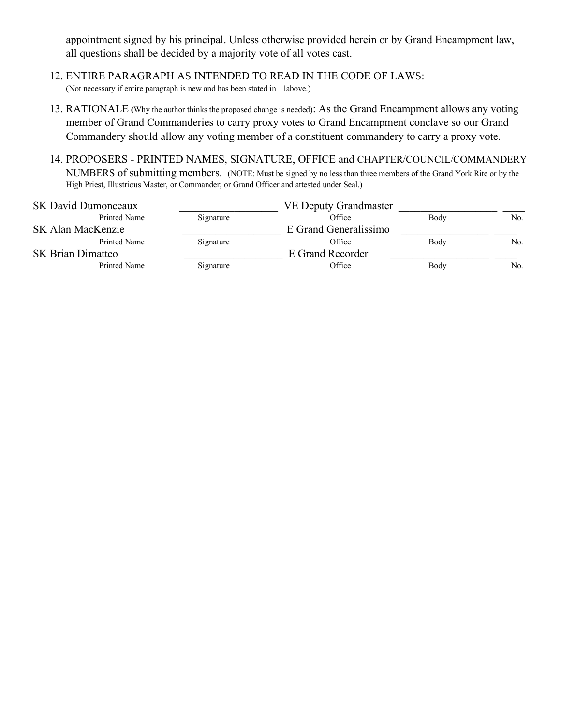appointment signed by his principal. Unless otherwise provided herein or by Grand Encampment law, all questions shall be decided by a majority vote of all votes cast.

- 12. ENTIRE PARAGRAPH AS INTENDED TO READ IN THE CODE OF LAWS: (Not necessary if entire paragraph is new and has been stated in 11above.)
- 13. RATIONALE (Why the author thinks the proposed change is needed): As the Grand Encampment allows any voting member of Grand Commanderies to carry proxy votes to Grand Encampment conclave so our Grand Commandery should allow any voting member of a constituent commandery to carry a proxy vote.
- 14. PROPOSERS PRINTED NAMES, SIGNATURE, OFFICE and CHAPTER/COUNCIL/COMMANDERY NUMBERS of submitting members. (NOTE: Must be signed by no less than three members of the Grand York Rite or by the High Priest, Illustrious Master, or Commander; or Grand Officer and attested under Seal.)

|           | <b>VE Deputy Grandmaster</b> |      |     |
|-----------|------------------------------|------|-----|
| Signature | Office                       | Body | No. |
|           | E Grand Generalissimo        |      |     |
| Signature | Office                       | Body | No. |
|           | E Grand Recorder             |      |     |
| Signature | Office                       | Body | No. |
|           |                              |      |     |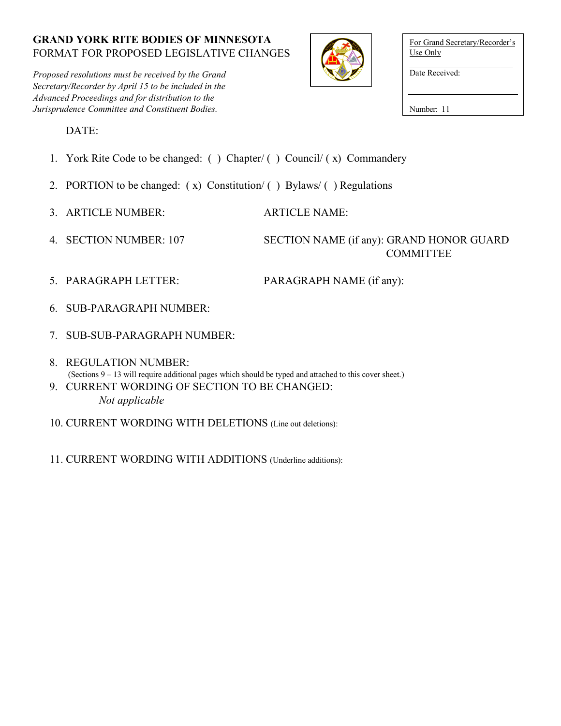*Proposed resolutions must be received by the Grand Secretary/Recorder by April 15 to be included in the Advanced Proceedings and for distribution to the Jurisprudence Committee and Constituent Bodies.*



| For Grand Secretary/Recorder's<br>Use Only |
|--------------------------------------------|
| Date Received:                             |
| Number: 11                                 |

DATE:

- 1. York Rite Code to be changed: ( ) Chapter/ ( ) Council/ ( x) Commandery
- 2. PORTION to be changed:  $(x)$  Constitution/ $(y)$  Bylaws/ $(y)$  Regulations
- 3. ARTICLE NUMBER: ARTICLE NAME:
- 

# 4. SECTION NUMBER: 107 SECTION NAME (if any): GRAND HONOR GUARD **COMMITTEE**

- 5. PARAGRAPH LETTER: PARAGRAPH NAME (if any):
- 6. SUB-PARAGRAPH NUMBER:
- 7. SUB-SUB-PARAGRAPH NUMBER:
- 8. REGULATION NUMBER: (Sections 9 – 13 will require additional pages which should be typed and attached to this cover sheet.)
- 9. CURRENT WORDING OF SECTION TO BE CHANGED: *Not applicable*
- 10. CURRENT WORDING WITH DELETIONS (Line out deletions):
- 11. CURRENT WORDING WITH ADDITIONS (Underline additions):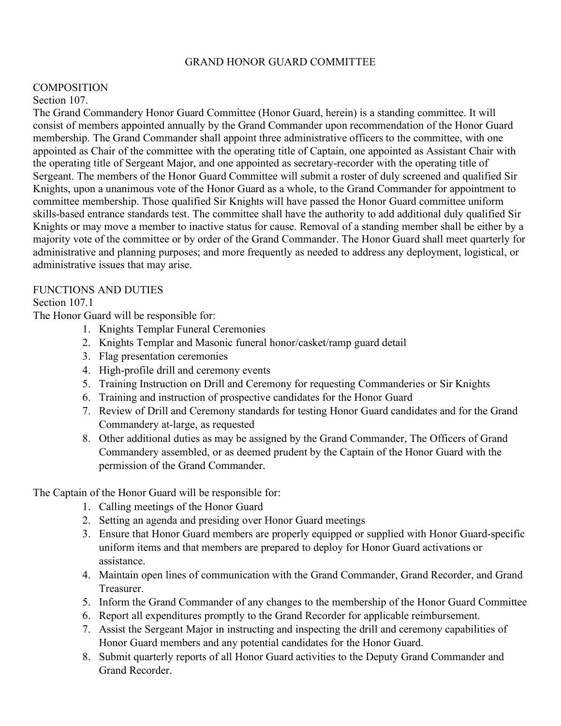#### GRAND HONOR GUARD COMMITTEE

#### **COMPOSITION**

#### Section 107.

The Grand Commandery Honor Guard Committee (Honor Guard, herein) is a standing committee. It will consist of members appointed annually by the Grand Commander upon recommendation of the Honor Guard membership. The Grand Commander shall appoint three administrative officers to the committee, with one appointed as Chair of the committee with the operating title of Captain, one appointed as Assistant Chair with the operating title of Sergeant Major, and one appointed as secretary-recorder with the operating title of Sergeant. The members of the Honor Guard Committee will submit a roster of duly screened and qualified Sir Knights, upon a unanimous vote of the Honor Guard as a whole, to the Grand Commander for appointment to committee membership. Those qualified Sir Knights will have passed the Honor Guard committee uniform skills-based entrance standards test. The committee shall have the authority to add additional duly qualified Sir Knights or may move a member to inactive status for cause. Removal of a standing member shall be either by a majority vote of the committee or by order of the Grand Commander. The Honor Guard shall meet quarterly for administrative and planning purposes; and more frequently as needed to address any deployment, logistical, or administrative issues that may arise.

### FUNCTIONS AND DUTIES

### Section 107.1

The Honor Guard will be responsible for:

- 1. Knights Templar Funeral Ceremonies
- 2. Knights Templar and Masonic funeral honor/casket/ramp guard detail
- 3. Flag presentation ceremonies
- 4. High-profile drill and ceremony events
- 5. Training Instruction on Drill and Ceremony for requesting Commanderies or Sir Knights
- 6. Training and instruction of prospective candidates for the Honor Guard
- 7. Review of Drill and Ceremony standards for testing Honor Guard candidates and for the Grand Commandery at-large, as requested
- 8. Other additional duties as may be assigned by the Grand Commander, The Officers of Grand Commandery assembled, or as deemed prudent by the Captain of the Honor Guard with the permission of the Grand Commander.

The Captain of the Honor Guard will be responsible for:

- 1. Calling meetings of the Honor Guard
- 2. Setting an agenda and presiding over Honor Guard meetings
- 3. Ensure that Honor Guard members are properly equipped or supplied with Honor Guard-specific uniform items and that members are prepared to deploy for Honor Guard activations or assistance.
- 4. Maintain open lines of communication with the Grand Commander, Grand Recorder, and Grand Treasurer.
- 5. Inform the Grand Commander of any changes to the membership of the Honor Guard Committee
- 6. Report all expenditures promptly to the Grand Recorder for applicable reimbursement.
- 7. Assist the Sergeant Major in instructing and inspecting the drill and ceremony capabilities of Honor Guard members and any potential candidates for the Honor Guard.
- 8. Submit quarterly reports of all Honor Guard activities to the Deputy Grand Commander and Grand Recorder.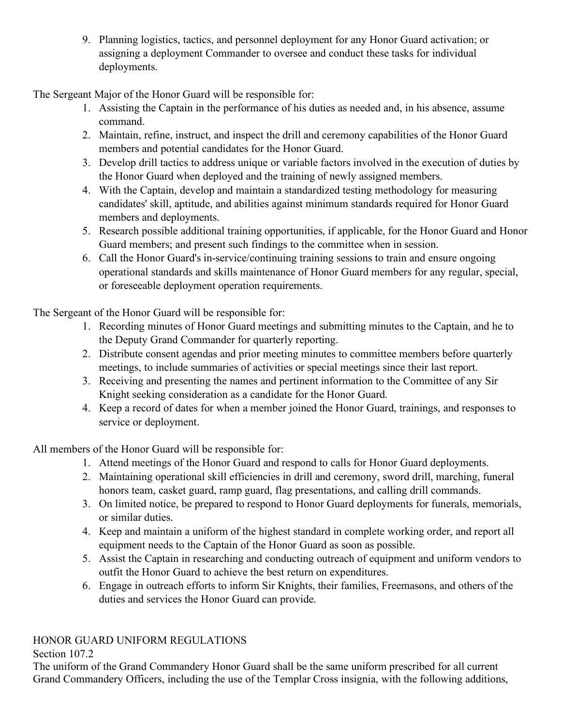9. Planning logistics, tactics, and personnel deployment for any Honor Guard activation; or assigning a deployment Commander to oversee and conduct these tasks for individual deployments.

The Sergeant Major of the Honor Guard will be responsible for:

- 1. Assisting the Captain in the performance of his duties as needed and, in his absence, assume command.
- 2. Maintain, refine, instruct, and inspect the drill and ceremony capabilities of the Honor Guard members and potential candidates for the Honor Guard.
- 3. Develop drill tactics to address unique or variable factors involved in the execution of duties by the Honor Guard when deployed and the training of newly assigned members.
- 4. With the Captain, develop and maintain a standardized testing methodology for measuring candidates' skill, aptitude, and abilities against minimum standards required for Honor Guard members and deployments.
- 5. Research possible additional training opportunities, if applicable, for the Honor Guard and Honor Guard members; and present such findings to the committee when in session.
- 6. Call the Honor Guard's in-service/continuing training sessions to train and ensure ongoing operational standards and skills maintenance of Honor Guard members for any regular, special, or foreseeable deployment operation requirements.

The Sergeant of the Honor Guard will be responsible for:

- 1. Recording minutes of Honor Guard meetings and submitting minutes to the Captain, and he to the Deputy Grand Commander for quarterly reporting.
- 2. Distribute consent agendas and prior meeting minutes to committee members before quarterly meetings, to include summaries of activities or special meetings since their last report.
- 3. Receiving and presenting the names and pertinent information to the Committee of any Sir Knight seeking consideration as a candidate for the Honor Guard.
- 4. Keep a record of dates for when a member joined the Honor Guard, trainings, and responses to service or deployment.

All members of the Honor Guard will be responsible for:

- 1. Attend meetings of the Honor Guard and respond to calls for Honor Guard deployments.
- 2. Maintaining operational skill efficiencies in drill and ceremony, sword drill, marching, funeral honors team, casket guard, ramp guard, flag presentations, and calling drill commands.
- 3. On limited notice, be prepared to respond to Honor Guard deployments for funerals, memorials, or similar duties.
- 4. Keep and maintain a uniform of the highest standard in complete working order, and report all equipment needs to the Captain of the Honor Guard as soon as possible.
- 5. Assist the Captain in researching and conducting outreach of equipment and uniform vendors to outfit the Honor Guard to achieve the best return on expenditures.
- 6. Engage in outreach efforts to inform Sir Knights, their families, Freemasons, and others of the duties and services the Honor Guard can provide.

# HONOR GUARD UNIFORM REGULATIONS

# Section 107.2

The uniform of the Grand Commandery Honor Guard shall be the same uniform prescribed for all current Grand Commandery Officers, including the use of the Templar Cross insignia, with the following additions,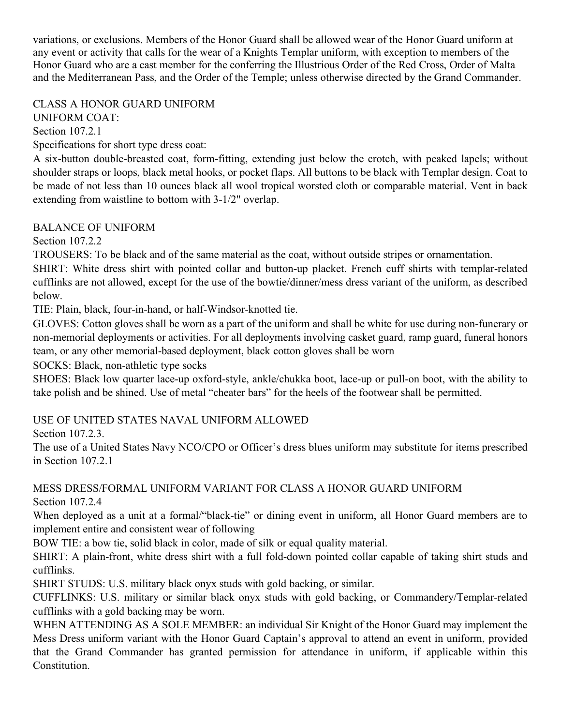variations, or exclusions. Members of the Honor Guard shall be allowed wear of the Honor Guard uniform at any event or activity that calls for the wear of a Knights Templar uniform, with exception to members of the Honor Guard who are a cast member for the conferring the Illustrious Order of the Red Cross, Order of Malta and the Mediterranean Pass, and the Order of the Temple; unless otherwise directed by the Grand Commander.

CLASS A HONOR GUARD UNIFORM UNIFORM COAT: Section 107.2.1

Specifications for short type dress coat:

A six-button double-breasted coat, form-fitting, extending just below the crotch, with peaked lapels; without shoulder straps or loops, black metal hooks, or pocket flaps. All buttons to be black with Templar design. Coat to be made of not less than 10 ounces black all wool tropical worsted cloth or comparable material. Vent in back extending from waistline to bottom with 3-1/2" overlap.

### BALANCE OF UNIFORM

Section 107.2.2

TROUSERS: To be black and of the same material as the coat, without outside stripes or ornamentation.

SHIRT: White dress shirt with pointed collar and button-up placket. French cuff shirts with templar-related cufflinks are not allowed, except for the use of the bowtie/dinner/mess dress variant of the uniform, as described below.

TIE: Plain, black, four-in-hand, or half-Windsor-knotted tie.

GLOVES: Cotton gloves shall be worn as a part of the uniform and shall be white for use during non-funerary or non-memorial deployments or activities. For all deployments involving casket guard, ramp guard, funeral honors team, or any other memorial-based deployment, black cotton gloves shall be worn

SOCKS: Black, non-athletic type socks

SHOES: Black low quarter lace-up oxford-style, ankle/chukka boot, lace-up or pull-on boot, with the ability to take polish and be shined. Use of metal "cheater bars" for the heels of the footwear shall be permitted.

# USE OF UNITED STATES NAVAL UNIFORM ALLOWED

Section 107.2.3.

The use of a United States Navy NCO/CPO or Officer's dress blues uniform may substitute for items prescribed in Section 107.2.1

MESS DRESS/FORMAL UNIFORM VARIANT FOR CLASS A HONOR GUARD UNIFORM Section 107.2.4

When deployed as a unit at a formal/"black-tie" or dining event in uniform, all Honor Guard members are to implement entire and consistent wear of following

BOW TIE: a bow tie, solid black in color, made of silk or equal quality material.

SHIRT: A plain-front, white dress shirt with a full fold-down pointed collar capable of taking shirt studs and cufflinks.

SHIRT STUDS: U.S. military black onyx studs with gold backing, or similar.

CUFFLINKS: U.S. military or similar black onyx studs with gold backing, or Commandery/Templar-related cufflinks with a gold backing may be worn.

WHEN ATTENDING AS A SOLE MEMBER: an individual Sir Knight of the Honor Guard may implement the Mess Dress uniform variant with the Honor Guard Captain's approval to attend an event in uniform, provided that the Grand Commander has granted permission for attendance in uniform, if applicable within this Constitution.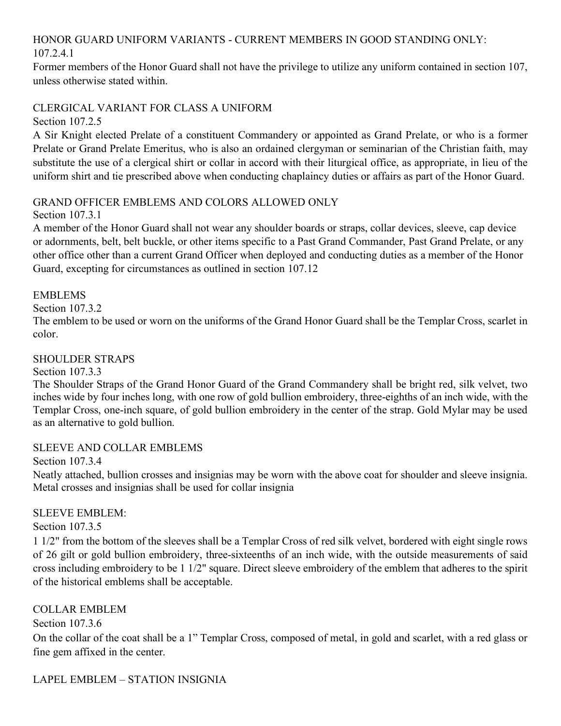# HONOR GUARD UNIFORM VARIANTS - CURRENT MEMBERS IN GOOD STANDING ONLY: 107.2.4.1

Former members of the Honor Guard shall not have the privilege to utilize any uniform contained in section 107, unless otherwise stated within.

### CLERGICAL VARIANT FOR CLASS A UNIFORM

Section 107.2.5

A Sir Knight elected Prelate of a constituent Commandery or appointed as Grand Prelate, or who is a former Prelate or Grand Prelate Emeritus, who is also an ordained clergyman or seminarian of the Christian faith, may substitute the use of a clergical shirt or collar in accord with their liturgical office, as appropriate, in lieu of the uniform shirt and tie prescribed above when conducting chaplaincy duties or affairs as part of the Honor Guard.

### GRAND OFFICER EMBLEMS AND COLORS ALLOWED ONLY

Section 107.3.1

A member of the Honor Guard shall not wear any shoulder boards or straps, collar devices, sleeve, cap device or adornments, belt, belt buckle, or other items specific to a Past Grand Commander, Past Grand Prelate, or any other office other than a current Grand Officer when deployed and conducting duties as a member of the Honor Guard, excepting for circumstances as outlined in section 107.12

### EMBLEMS

Section 107.3.2

The emblem to be used or worn on the uniforms of the Grand Honor Guard shall be the Templar Cross, scarlet in color.

### SHOULDER STRAPS

Section 107.3.3

The Shoulder Straps of the Grand Honor Guard of the Grand Commandery shall be bright red, silk velvet, two inches wide by four inches long, with one row of gold bullion embroidery, three-eighths of an inch wide, with the Templar Cross, one-inch square, of gold bullion embroidery in the center of the strap. Gold Mylar may be used as an alternative to gold bullion.

### SLEEVE AND COLLAR EMBLEMS

Section 107.3.4

Neatly attached, bullion crosses and insignias may be worn with the above coat for shoulder and sleeve insignia. Metal crosses and insignias shall be used for collar insignia

### SLEEVE EMBLEM:

Section 107.3.5

1 1/2" from the bottom of the sleeves shall be a Templar Cross of red silk velvet, bordered with eight single rows of 26 gilt or gold bullion embroidery, three-sixteenths of an inch wide, with the outside measurements of said cross including embroidery to be 1 1/2" square. Direct sleeve embroidery of the emblem that adheres to the spirit of the historical emblems shall be acceptable.

# COLLAR EMBLEM

Section 107.3.6

On the collar of the coat shall be a 1" Templar Cross, composed of metal, in gold and scarlet, with a red glass or fine gem affixed in the center.

LAPEL EMBLEM – STATION INSIGNIA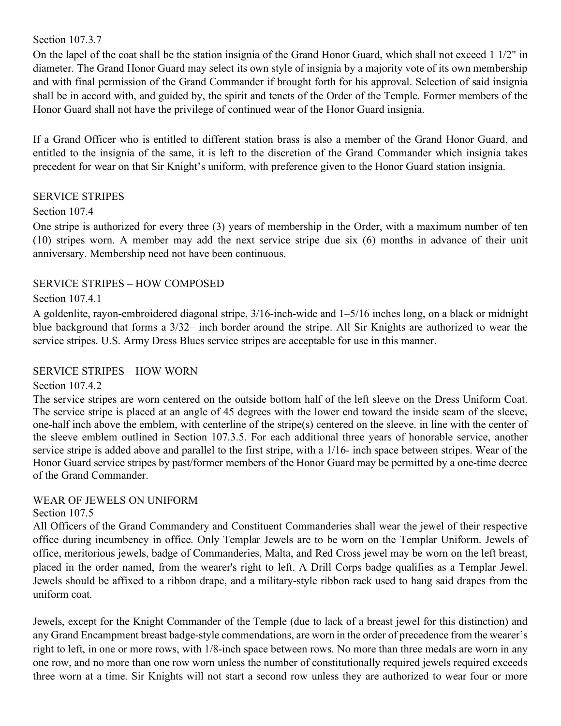#### Section 107.3.7

On the lapel of the coat shall be the station insignia of the Grand Honor Guard, which shall not exceed 1 1/2" in diameter. The Grand Honor Guard may select its own style of insignia by a majority vote of its own membership and with final permission of the Grand Commander if brought forth for his approval. Selection of said insignia shall be in accord with, and guided by, the spirit and tenets of the Order of the Temple. Former members of the Honor Guard shall not have the privilege of continued wear of the Honor Guard insignia.

If a Grand Officer who is entitled to different station brass is also a member of the Grand Honor Guard, and entitled to the insignia of the same, it is left to the discretion of the Grand Commander which insignia takes precedent for wear on that Sir Knight's uniform, with preference given to the Honor Guard station insignia.

### SERVICE STRIPES

### Section 107.4

One stripe is authorized for every three (3) years of membership in the Order, with a maximum number of ten (10) stripes worn. A member may add the next service stripe due six (6) months in advance of their unit anniversary. Membership need not have been continuous.

### SERVICE STRIPES – HOW COMPOSED

#### Section 107.4.1

A goldenlite, rayon-embroidered diagonal stripe, 3/16-inch-wide and 1–5/16 inches long, on a black or midnight blue background that forms a 3/32– inch border around the stripe. All Sir Knights are authorized to wear the service stripes. U.S. Army Dress Blues service stripes are acceptable for use in this manner.

### SERVICE STRIPES – HOW WORN

#### Section 107.4.2

The service stripes are worn centered on the outside bottom half of the left sleeve on the Dress Uniform Coat. The service stripe is placed at an angle of 45 degrees with the lower end toward the inside seam of the sleeve, one-half inch above the emblem, with centerline of the stripe(s) centered on the sleeve. in line with the center of the sleeve emblem outlined in Section 107.3.5. For each additional three years of honorable service, another service stripe is added above and parallel to the first stripe, with a 1/16- inch space between stripes. Wear of the Honor Guard service stripes by past/former members of the Honor Guard may be permitted by a one-time decree of the Grand Commander.

### WEAR OF JEWELS ON UNIFORM

#### Section 107.5

All Officers of the Grand Commandery and Constituent Commanderies shall wear the jewel of their respective office during incumbency in office. Only Templar Jewels are to be worn on the Templar Uniform. Jewels of office, meritorious jewels, badge of Commanderies, Malta, and Red Cross jewel may be worn on the left breast, placed in the order named, from the wearer's right to left. A Drill Corps badge qualifies as a Templar Jewel. Jewels should be affixed to a ribbon drape, and a military-style ribbon rack used to hang said drapes from the uniform coat.

Jewels, except for the Knight Commander of the Temple (due to lack of a breast jewel for this distinction) and any Grand Encampment breast badge-style commendations, are worn in the order of precedence from the wearer's right to left, in one or more rows, with 1/8-inch space between rows. No more than three medals are worn in any one row, and no more than one row worn unless the number of constitutionally required jewels required exceeds three worn at a time. Sir Knights will not start a second row unless they are authorized to wear four or more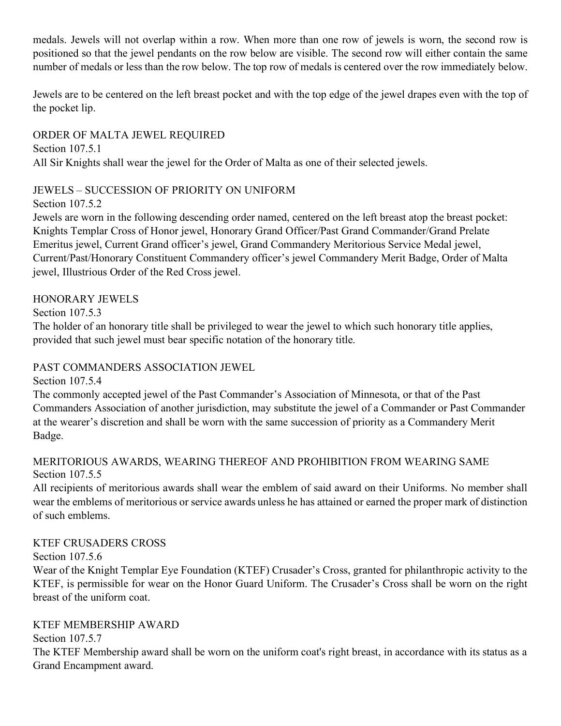medals. Jewels will not overlap within a row. When more than one row of jewels is worn, the second row is positioned so that the jewel pendants on the row below are visible. The second row will either contain the same number of medals or less than the row below. The top row of medals is centered over the row immediately below.

Jewels are to be centered on the left breast pocket and with the top edge of the jewel drapes even with the top of the pocket lip.

ORDER OF MALTA JEWEL REQUIRED Section 107.5.1 All Sir Knights shall wear the jewel for the Order of Malta as one of their selected jewels.

# JEWELS – SUCCESSION OF PRIORITY ON UNIFORM

Section 107.5.2

Jewels are worn in the following descending order named, centered on the left breast atop the breast pocket: Knights Templar Cross of Honor jewel, Honorary Grand Officer/Past Grand Commander/Grand Prelate Emeritus jewel, Current Grand officer's jewel, Grand Commandery Meritorious Service Medal jewel, Current/Past/Honorary Constituent Commandery officer's jewel Commandery Merit Badge, Order of Malta jewel, Illustrious Order of the Red Cross jewel.

# HONORARY JEWELS

Section 107.5.3

The holder of an honorary title shall be privileged to wear the jewel to which such honorary title applies, provided that such jewel must bear specific notation of the honorary title.

# PAST COMMANDERS ASSOCIATION JEWEL

Section 107.5.4

The commonly accepted jewel of the Past Commander's Association of Minnesota, or that of the Past Commanders Association of another jurisdiction, may substitute the jewel of a Commander or Past Commander at the wearer's discretion and shall be worn with the same succession of priority as a Commandery Merit Badge.

# MERITORIOUS AWARDS, WEARING THEREOF AND PROHIBITION FROM WEARING SAME Section 107.5.5

All recipients of meritorious awards shall wear the emblem of said award on their Uniforms. No member shall wear the emblems of meritorious or service awards unless he has attained or earned the proper mark of distinction of such emblems.

# KTEF CRUSADERS CROSS

Section 107.5.6

Wear of the Knight Templar Eye Foundation (KTEF) Crusader's Cross, granted for philanthropic activity to the KTEF, is permissible for wear on the Honor Guard Uniform. The Crusader's Cross shall be worn on the right breast of the uniform coat.

# KTEF MEMBERSHIP AWARD

Section 107.5.7

The KTEF Membership award shall be worn on the uniform coat's right breast, in accordance with its status as a Grand Encampment award.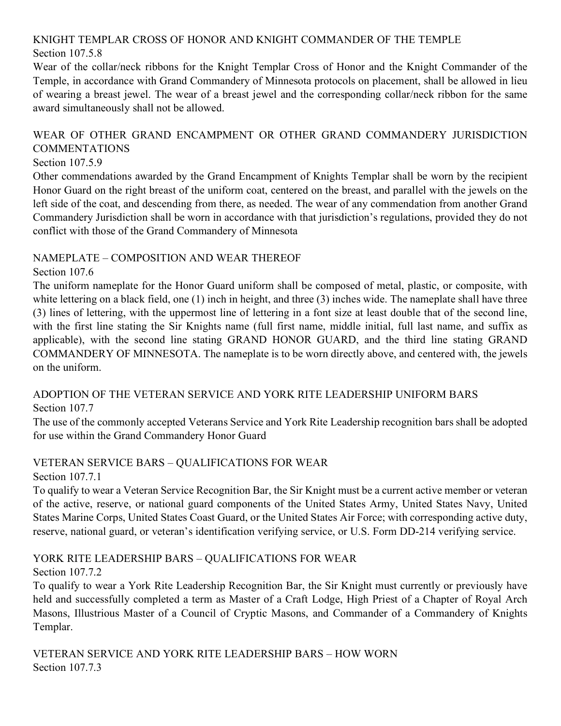#### KNIGHT TEMPLAR CROSS OF HONOR AND KNIGHT COMMANDER OF THE TEMPLE Section 107.5.8

Wear of the collar/neck ribbons for the Knight Templar Cross of Honor and the Knight Commander of the Temple, in accordance with Grand Commandery of Minnesota protocols on placement, shall be allowed in lieu of wearing a breast jewel. The wear of a breast jewel and the corresponding collar/neck ribbon for the same award simultaneously shall not be allowed.

# WEAR OF OTHER GRAND ENCAMPMENT OR OTHER GRAND COMMANDERY JURISDICTION COMMENTATIONS

### Section 107.5.9

Other commendations awarded by the Grand Encampment of Knights Templar shall be worn by the recipient Honor Guard on the right breast of the uniform coat, centered on the breast, and parallel with the jewels on the left side of the coat, and descending from there, as needed. The wear of any commendation from another Grand Commandery Jurisdiction shall be worn in accordance with that jurisdiction's regulations, provided they do not conflict with those of the Grand Commandery of Minnesota

# NAMEPLATE – COMPOSITION AND WEAR THEREOF

# Section 107.6

The uniform nameplate for the Honor Guard uniform shall be composed of metal, plastic, or composite, with white lettering on a black field, one (1) inch in height, and three (3) inches wide. The nameplate shall have three (3) lines of lettering, with the uppermost line of lettering in a font size at least double that of the second line, with the first line stating the Sir Knights name (full first name, middle initial, full last name, and suffix as applicable), with the second line stating GRAND HONOR GUARD, and the third line stating GRAND COMMANDERY OF MINNESOTA. The nameplate is to be worn directly above, and centered with, the jewels on the uniform.

# ADOPTION OF THE VETERAN SERVICE AND YORK RITE LEADERSHIP UNIFORM BARS Section 107.7

The use of the commonly accepted Veterans Service and York Rite Leadership recognition bars shall be adopted for use within the Grand Commandery Honor Guard

# VETERAN SERVICE BARS – QUALIFICATIONS FOR WEAR

Section 107.7.1

To qualify to wear a Veteran Service Recognition Bar, the Sir Knight must be a current active member or veteran of the active, reserve, or national guard components of the United States Army, United States Navy, United States Marine Corps, United States Coast Guard, or the United States Air Force; with corresponding active duty, reserve, national guard, or veteran's identification verifying service, or U.S. Form DD-214 verifying service.

# YORK RITE LEADERSHIP BARS – QUALIFICATIONS FOR WEAR

# Section 107.7.2

To qualify to wear a York Rite Leadership Recognition Bar, the Sir Knight must currently or previously have held and successfully completed a term as Master of a Craft Lodge, High Priest of a Chapter of Royal Arch Masons, Illustrious Master of a Council of Cryptic Masons, and Commander of a Commandery of Knights Templar.

VETERAN SERVICE AND YORK RITE LEADERSHIP BARS – HOW WORN Section 107.7.3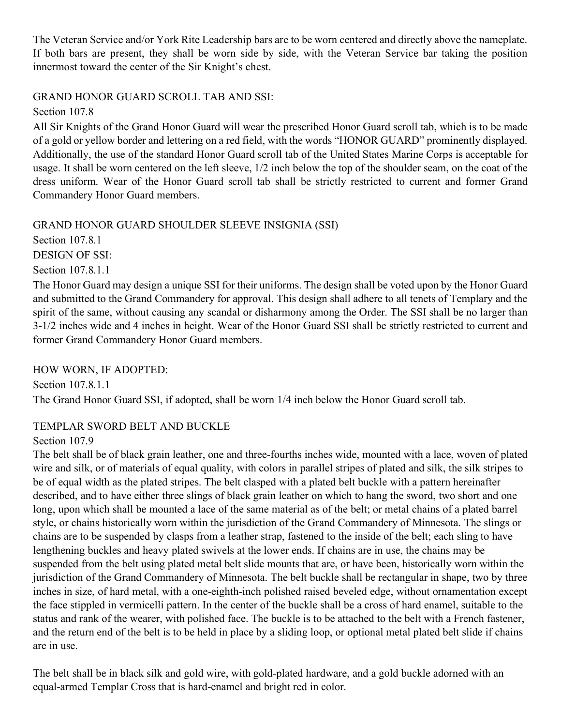The Veteran Service and/or York Rite Leadership bars are to be worn centered and directly above the nameplate. If both bars are present, they shall be worn side by side, with the Veteran Service bar taking the position innermost toward the center of the Sir Knight's chest.

## GRAND HONOR GUARD SCROLL TAB AND SSI:

Section 107.8

All Sir Knights of the Grand Honor Guard will wear the prescribed Honor Guard scroll tab, which is to be made of a gold or yellow border and lettering on a red field, with the words "HONOR GUARD" prominently displayed. Additionally, the use of the standard Honor Guard scroll tab of the United States Marine Corps is acceptable for usage. It shall be worn centered on the left sleeve, 1/2 inch below the top of the shoulder seam, on the coat of the dress uniform. Wear of the Honor Guard scroll tab shall be strictly restricted to current and former Grand Commandery Honor Guard members.

### GRAND HONOR GUARD SHOULDER SLEEVE INSIGNIA (SSI)

Section 107.8.1

DESIGN OF SSI:

Section 107.8.1.1

The Honor Guard may design a unique SSI for their uniforms. The design shall be voted upon by the Honor Guard and submitted to the Grand Commandery for approval. This design shall adhere to all tenets of Templary and the spirit of the same, without causing any scandal or disharmony among the Order. The SSI shall be no larger than 3-1/2 inches wide and 4 inches in height. Wear of the Honor Guard SSI shall be strictly restricted to current and former Grand Commandery Honor Guard members.

HOW WORN, IF ADOPTED:

Section 107.8.1.1 The Grand Honor Guard SSI, if adopted, shall be worn 1/4 inch below the Honor Guard scroll tab.

# TEMPLAR SWORD BELT AND BUCKLE

Section 107.9

The belt shall be of black grain leather, one and three-fourths inches wide, mounted with a lace, woven of plated wire and silk, or of materials of equal quality, with colors in parallel stripes of plated and silk, the silk stripes to be of equal width as the plated stripes. The belt clasped with a plated belt buckle with a pattern hereinafter described, and to have either three slings of black grain leather on which to hang the sword, two short and one long, upon which shall be mounted a lace of the same material as of the belt; or metal chains of a plated barrel style, or chains historically worn within the jurisdiction of the Grand Commandery of Minnesota. The slings or chains are to be suspended by clasps from a leather strap, fastened to the inside of the belt; each sling to have lengthening buckles and heavy plated swivels at the lower ends. If chains are in use, the chains may be suspended from the belt using plated metal belt slide mounts that are, or have been, historically worn within the jurisdiction of the Grand Commandery of Minnesota. The belt buckle shall be rectangular in shape, two by three inches in size, of hard metal, with a one-eighth-inch polished raised beveled edge, without ornamentation except the face stippled in vermicelli pattern. In the center of the buckle shall be a cross of hard enamel, suitable to the status and rank of the wearer, with polished face. The buckle is to be attached to the belt with a French fastener, and the return end of the belt is to be held in place by a sliding loop, or optional metal plated belt slide if chains are in use.

The belt shall be in black silk and gold wire, with gold-plated hardware, and a gold buckle adorned with an equal-armed Templar Cross that is hard-enamel and bright red in color.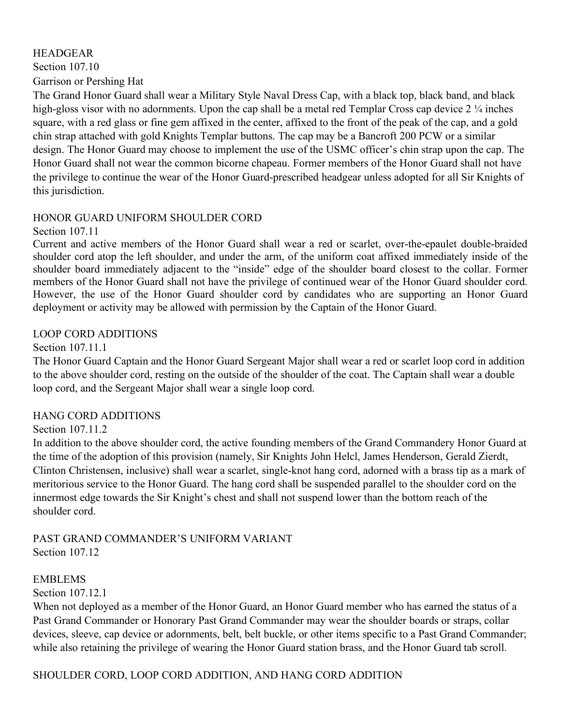#### HEADGEAR

Section 107.10

Garrison or Pershing Hat

The Grand Honor Guard shall wear a Military Style Naval Dress Cap, with a black top, black band, and black high-gloss visor with no adornments. Upon the cap shall be a metal red Templar Cross cap device 2 ¼ inches square, with a red glass or fine gem affixed in the center, affixed to the front of the peak of the cap, and a gold chin strap attached with gold Knights Templar buttons. The cap may be a Bancroft 200 PCW or a similar design. The Honor Guard may choose to implement the use of the USMC officer's chin strap upon the cap. The Honor Guard shall not wear the common bicorne chapeau. Former members of the Honor Guard shall not have the privilege to continue the wear of the Honor Guard-prescribed headgear unless adopted for all Sir Knights of this jurisdiction.

### HONOR GUARD UNIFORM SHOULDER CORD

Section 107.11

Current and active members of the Honor Guard shall wear a red or scarlet, over-the-epaulet double-braided shoulder cord atop the left shoulder, and under the arm, of the uniform coat affixed immediately inside of the shoulder board immediately adjacent to the "inside" edge of the shoulder board closest to the collar. Former members of the Honor Guard shall not have the privilege of continued wear of the Honor Guard shoulder cord. However, the use of the Honor Guard shoulder cord by candidates who are supporting an Honor Guard deployment or activity may be allowed with permission by the Captain of the Honor Guard.

### LOOP CORD ADDITIONS

### Section 107.11.1

The Honor Guard Captain and the Honor Guard Sergeant Major shall wear a red or scarlet loop cord in addition to the above shoulder cord, resting on the outside of the shoulder of the coat. The Captain shall wear a double loop cord, and the Sergeant Major shall wear a single loop cord.

### HANG CORD ADDITIONS

### Section 107.11.2

In addition to the above shoulder cord, the active founding members of the Grand Commandery Honor Guard at the time of the adoption of this provision (namely, Sir Knights John Helcl, James Henderson, Gerald Zierdt, Clinton Christensen, inclusive) shall wear a scarlet, single-knot hang cord, adorned with a brass tip as a mark of meritorious service to the Honor Guard. The hang cord shall be suspended parallel to the shoulder cord on the innermost edge towards the Sir Knight's chest and shall not suspend lower than the bottom reach of the shoulder cord.

### PAST GRAND COMMANDER'S UNIFORM VARIANT Section 107.12

### EMBLEMS

Section 107.12.1

When not deployed as a member of the Honor Guard, an Honor Guard member who has earned the status of a Past Grand Commander or Honorary Past Grand Commander may wear the shoulder boards or straps, collar devices, sleeve, cap device or adornments, belt, belt buckle, or other items specific to a Past Grand Commander; while also retaining the privilege of wearing the Honor Guard station brass, and the Honor Guard tab scroll.

SHOULDER CORD, LOOP CORD ADDITION, AND HANG CORD ADDITION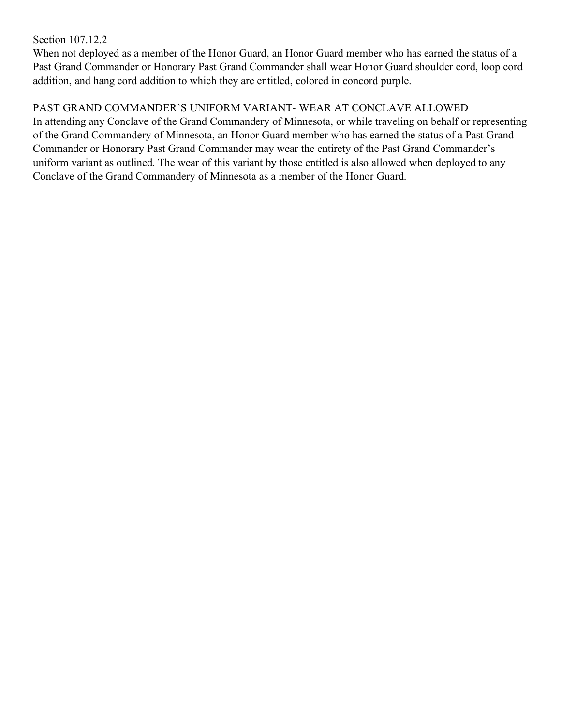### Section 107.12.2

When not deployed as a member of the Honor Guard, an Honor Guard member who has earned the status of a Past Grand Commander or Honorary Past Grand Commander shall wear Honor Guard shoulder cord, loop cord addition, and hang cord addition to which they are entitled, colored in concord purple.

# PAST GRAND COMMANDER'S UNIFORM VARIANT- WEAR AT CONCLAVE ALLOWED

In attending any Conclave of the Grand Commandery of Minnesota, or while traveling on behalf or representing of the Grand Commandery of Minnesota, an Honor Guard member who has earned the status of a Past Grand Commander or Honorary Past Grand Commander may wear the entirety of the Past Grand Commander's uniform variant as outlined. The wear of this variant by those entitled is also allowed when deployed to any Conclave of the Grand Commandery of Minnesota as a member of the Honor Guard.